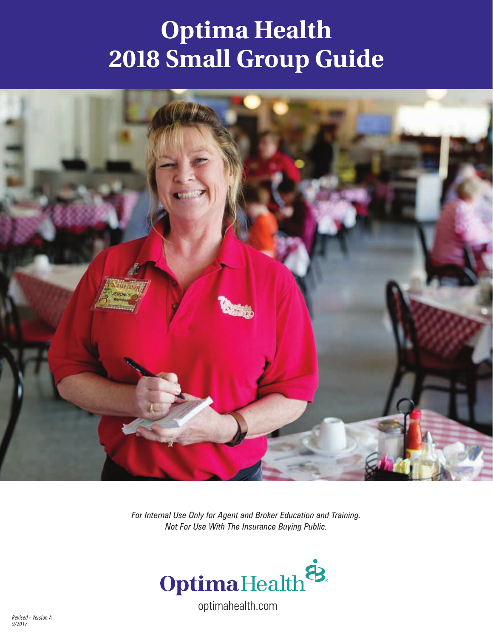# **Optima Health 2018 Small Group Guide**



*For Internal Use Only for Agent and Broker Education and Training. Not For Use With The Insurance Buying Public.* 

![](_page_0_Picture_3.jpeg)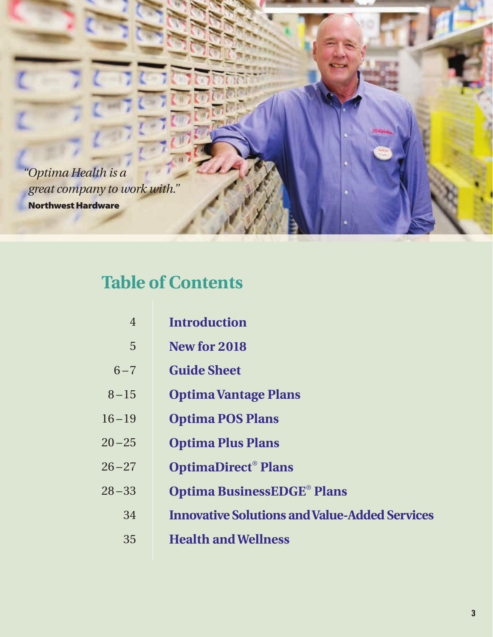![](_page_2_Picture_0.jpeg)

### **Table of Contents**

- **Introduction** 4
- **New for 2018** 5
- **Guide Sheet**  $6 - 7$
- **Optima Vantage Plans**  $8 - 15$
- **Optima POS Plans** 16 – 19
- **Optima Plus Plans**  $20 - 25$
- **OptimaDirect**®  **Plans**  $26 - 27$
- **Optima BusinessEDGE**®  **Plans**  $28 - 33$ 
	- **Innovative Solutions and Value-Added Services** 34
	- **Health and Wellness** 35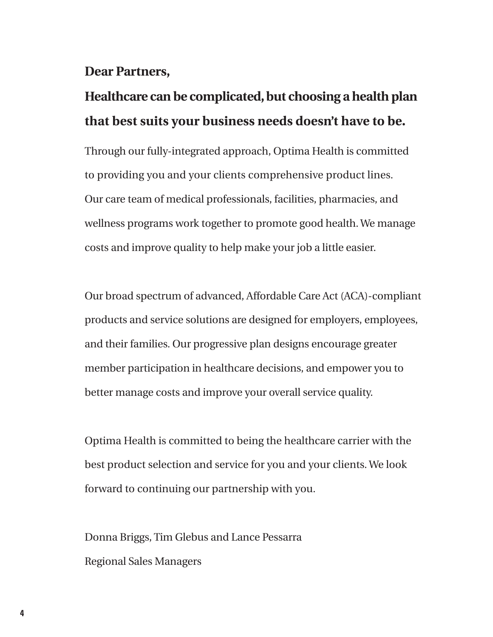### **Dear Partners,**

### **Healthcare can be complicated, but choosing a health plan that best suits your business needs doesn't have to be.**

Through our fully-integrated approach, Optima Health is committed to providing you and your clients comprehensive product lines. Our care team of medical professionals, facilities, pharmacies, and wellness programs work together to promote good health. We manage costs and improve quality to help make your job a little easier.

Our broad spectrum of advanced, Affordable Care Act (ACA)-compliant products and service solutions are designed for employers, employees, and their families. Our progressive plan designs encourage greater member participation in healthcare decisions, and empower you to better manage costs and improve your overall service quality.

Optima Health is committed to being the healthcare carrier with the best product selection and service for you and your clients. We look forward to continuing our partnership with you.

Donna Briggs, Tim Glebus and Lance Pessarra Regional Sales Managers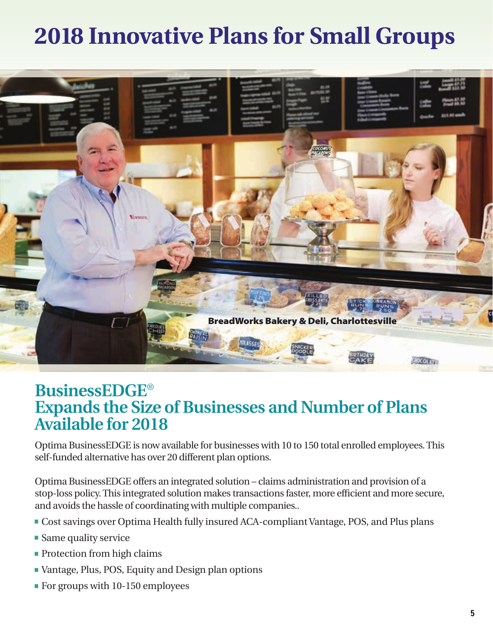## **2018 Innovative Plans for Small Groups**

![](_page_4_Picture_1.jpeg)

### **BusinessEDGE**® **Expands the Size of Businesses and Number of Plans Available for 2018**

Optima BusinessEDGE is now available for businesses with 10 to 150 total enrolled employees. This self-funded alternative has over 20 different plan options.

Optima BusinessEDGE offers an integrated solution – claims administration and provision of a stop-loss policy. This integrated solution makes transactions faster, more efficient and more secure, and avoids the hassle of coordinating with multiple companies..

- **-** Cost savings over Optima Health fully insured ACA-compliant Vantage, POS, and Plus plans
- **-** Same quality service
- **-** Protection from high claims
- **-** Vantage, Plus, POS, Equity and Design plan options
- **-** For groups with 10-150 employees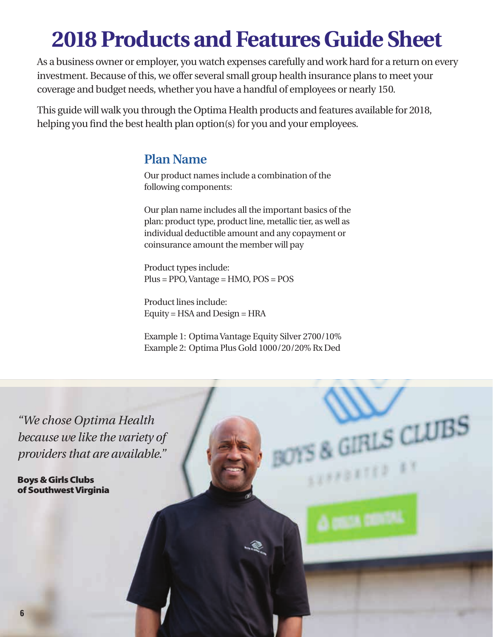## **2018 Products and Features Guide Sheet**

As a business owner or employer, you watch expenses carefully and work hard for a return on every investment. Because of this, we offer several small group health insurance plans to meet your coverage and budget needs, whether you have a handful of employees or nearly 150.

This guide will walk you through the Optima Health products and features available for 2018, helping you find the best health plan option(s) for you and your employees.

### **Plan Name**

Our product names include a combination of the following components:

Our plan name includes all the important basics of the plan: product type, product line, metallic tier, as well as individual deductible amount and any copayment or coinsurance amount the member will pay

Product types include: Plus = PPO, Vantage = HMO, POS = POS

Product lines include: Equity = HSA and Design = HRA

Example 1: Optima Vantage Equity Silver 2700/10% Example 2: Optima Plus Gold 1000/20/20% Rx Ded

 $GLUBS$ 

**BETER** 

*"We chose Optima Health because we like the variety of providers that are available."*

Boys & Girls Clubs of Southwest Virginia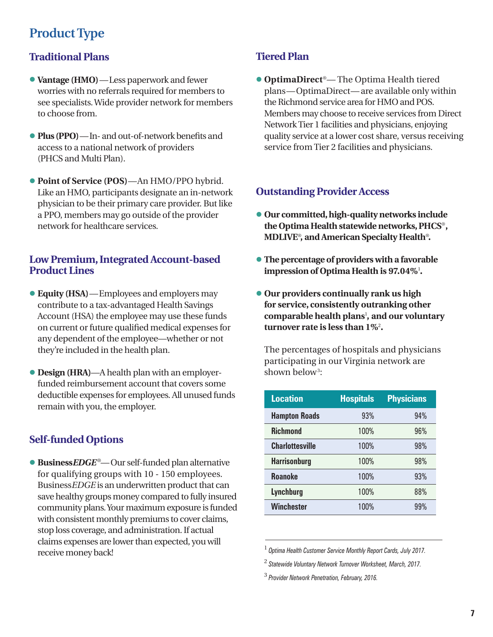### **Product Type**

#### **Traditional Plans**

- **• Vantage (HMO)**—Less paperwork and fewer worries with no referrals required for members to see specialists. Wide provider network for members to choose from.
- **• Plus (PPO)**—In- and out-of-network benefits and access to a national network of providers (PHCS and Multi Plan).
- **• Point of Service (POS)**—An HMO/PPO hybrid. Like an HMO, participants designate an in-network physician to be their primary care provider. But like a PPO, members may go outside of the provider network for healthcare services.

#### **Low Premium, Integrated Account-based Product Lines**

- **• Equity (HSA)**—Employees and employers may contribute to a tax-advantaged Health Savings Account (HSA) the employee may use these funds on current or future qualified medical expenses for any dependent of the employee—whether or not they're included in the health plan.
- **• Design (HRA)**—A health plan with an employerfunded reimbursement account that covers some deductible expenses for employees. All unused funds remain with you, the employer.

#### **Self-funded Options**

**• Business***EDGE* ®— Our self-funded plan alternative for qualifying groups with 10 - 150 employees. Business*EDGE* is an underwritten product that can save healthy groups money compared to fully insured community plans. Your maximum exposure is funded with consistent monthly premiums to cover claims, stop loss coverage, and administration. If actual claims expenses are lower than expected, you will receive money back!

### **Tiered Plan**

**• OptimaDirect**®— The Optima Health tiered plans—OptimaDirect— are available only within the Richmond service area for HMO and POS. Members may choose to receive services from Direct Network Tier 1 facilities and physicians, enjoying quality service at a lower cost share, versus receiving service from Tier 2 facilities and physicians.

#### **Outstanding Provider Access**

- **• Our committed, high-quality networks include the Optima Health statewide networks, PHCS**®**, MDLIVE**® **, and American Specialty Health**® **.**
- **• The percentage of providers with a favorable impression of Optima Health is 97.04%**<sup>1</sup> **.**
- **• Our providers continually rank us high for service, consistently outranking other comparable health plans**<sup>1</sup> **, and our voluntary turnover rate is less than 1%**<sup>2</sup> **.**

The percentages of hospitals and physicians participating in our Virginia network are shown below<sup>3</sup>:

| <b>Location</b>        | <b>Hospitals</b> | <b>Physicians</b> |
|------------------------|------------------|-------------------|
| <b>Hampton Roads</b>   | 93%              | 94%               |
| <b>Richmond</b>        | 100%             | 96%               |
| <b>Charlottesville</b> | 100%             | 98%               |
| <b>Harrisonburg</b>    | 100%             | 98%               |
| <b>Roanoke</b>         | 100%             | 93%               |
| Lynchburg              | 100%             | 88%               |
| <b>Winchester</b>      | 100%             | 99%               |

1  *Optima Health Customer Service Monthly Report Cards, July 2017.*

<sup>2</sup>  *Statewide Voluntary Network Turnover Worksheet, March, 2017.*

<sup>3</sup>  *Provider Network Penetration, February, 2016.*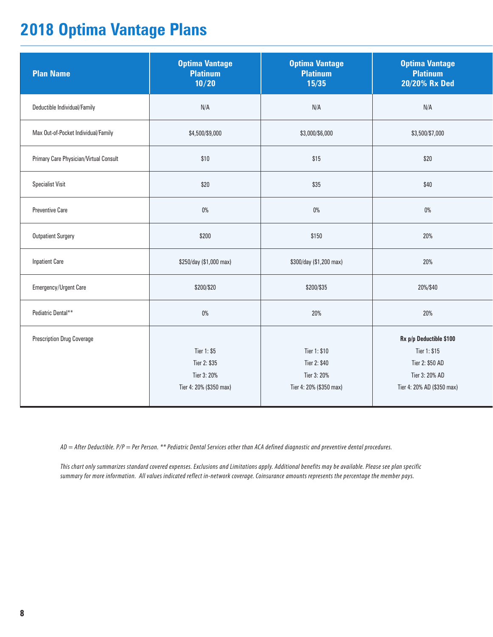### **2018 Optima Vantage Plans**

| <b>Plan Name</b>                       | <b>Optima Vantage</b><br><b>Platinum</b><br>10/20 | <b>Optima Vantage</b><br><b>Platinum</b><br>15/35 | <b>Optima Vantage</b><br><b>Platinum</b><br>20/20% Rx Ded |
|----------------------------------------|---------------------------------------------------|---------------------------------------------------|-----------------------------------------------------------|
| Deductible Individual/Family           | N/A                                               | N/A                                               | N/A                                                       |
| Max Out-of-Pocket Individual/Family    | \$4,500/\$9,000                                   | \$3,000/\$6,000                                   | \$3,500/\$7,000                                           |
| Primary Care Physician/Virtual Consult | \$10                                              | \$15                                              | \$20                                                      |
| <b>Specialist Visit</b>                | \$20                                              | \$35                                              | \$40                                                      |
| <b>Preventive Care</b>                 | $0\%$                                             | $0\%$                                             | $0\%$                                                     |
| <b>Outpatient Surgery</b>              | \$200                                             | \$150                                             | 20%                                                       |
| <b>Inpatient Care</b>                  | \$250/day (\$1,000 max)                           | \$300/day (\$1,200 max)                           | 20%                                                       |
| Emergency/Urgent Care                  | \$200/\$20                                        | \$200/\$35                                        | 20%/\$40                                                  |
| Pediatric Dental**                     | $0\%$                                             | 20%                                               | 20%                                                       |
| <b>Prescription Drug Coverage</b>      |                                                   |                                                   | Rx p/p Deductible \$100                                   |
|                                        | Tier 1: \$5                                       | Tier 1: \$10                                      | Tier 1: \$15                                              |
|                                        | Tier 2: \$35                                      | Tier 2: \$40                                      | Tier 2: \$50 AD                                           |
|                                        | Tier 3: 20%                                       | Tier 3: 20%                                       | Tier 3: 20% AD                                            |
|                                        | Tier 4: 20% (\$350 max)                           | Tier 4: 20% (\$350 max)                           | Tier 4: 20% AD (\$350 max)                                |

*AD = After Deductible. P/P = Per Person. \*\* Pediatric Dental Services other than ACA defined diagnostic and preventive dental procedures.*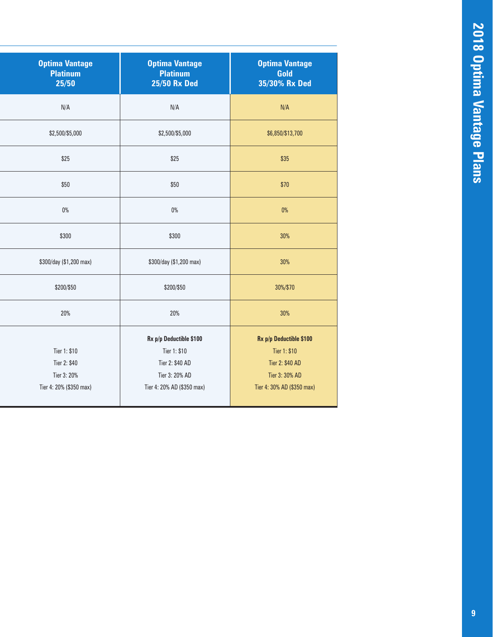| <b>Optima Vantage</b><br><b>Platinum</b><br>25/50 | <b>Optima Vantage</b><br><b>Platinum</b><br><b>25/50 Rx Ded</b> | <b>Optima Vantage</b><br>Gold<br>35/30% Rx Ded |
|---------------------------------------------------|-----------------------------------------------------------------|------------------------------------------------|
| N/A                                               | N/A                                                             | N/A                                            |
| \$2,500/\$5,000                                   | \$2,500/\$5,000                                                 | \$6,850/\$13,700                               |
| \$25                                              | \$25                                                            | \$35                                           |
| \$50                                              | \$50                                                            | \$70                                           |
| $0\%$                                             | $0\%$                                                           | $0\%$                                          |
| \$300                                             | \$300                                                           | 30%                                            |
| \$300/day (\$1,200 max)                           | \$300/day (\$1,200 max)                                         | 30%                                            |
| \$200/\$50                                        | \$200/\$50                                                      | 30%/\$70                                       |
| 20%                                               | 20%                                                             | 30%                                            |
|                                                   | Rx p/p Deductible \$100                                         | Rx p/p Deductible \$100                        |
| Tier 1: \$10                                      | Tier 1: \$10                                                    | Tier 1: \$10                                   |
| Tier 2: \$40                                      | Tier 2: \$40 AD                                                 | Tier 2: \$40 AD                                |
| Tier 3: 20%                                       | Tier 3: 20% AD                                                  | Tier 3: 30% AD                                 |
| Tier 4: 20% (\$350 max)                           | Tier 4: 20% AD (\$350 max)                                      | Tier 4: 30% AD (\$350 max)                     |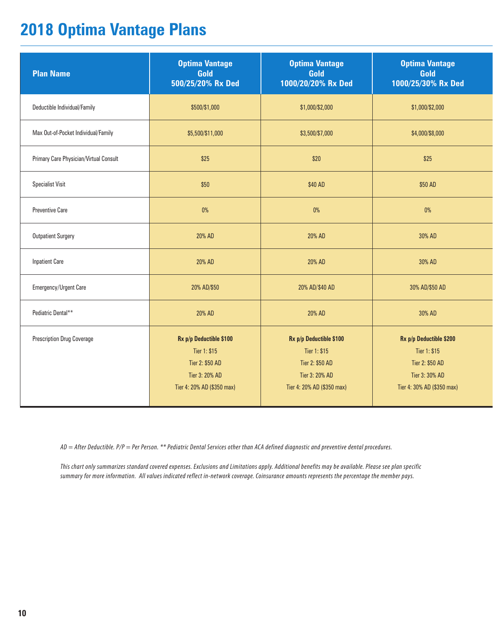### **2018 Optima Vantage Plans**

| <b>Plan Name</b>                       | <b>Optima Vantage</b><br>Gold<br>500/25/20% Rx Ded                                                         | <b>Optima Vantage</b><br>Gold<br>1000/20/20% Rx Ded                                                        | <b>Optima Vantage</b><br>Gold<br>1000/25/30% Rx Ded                                                        |
|----------------------------------------|------------------------------------------------------------------------------------------------------------|------------------------------------------------------------------------------------------------------------|------------------------------------------------------------------------------------------------------------|
| Deductible Individual/Family           | \$500/\$1,000                                                                                              | \$1,000/\$2,000                                                                                            | \$1,000/\$2,000                                                                                            |
| Max Out-of-Pocket Individual/Family    | \$5,500/\$11,000                                                                                           | \$3,500/\$7,000                                                                                            | \$4,000/\$8,000                                                                                            |
| Primary Care Physician/Virtual Consult | \$25                                                                                                       | \$20                                                                                                       | \$25                                                                                                       |
| <b>Specialist Visit</b>                | \$50                                                                                                       | \$40 AD                                                                                                    | \$50 AD                                                                                                    |
| <b>Preventive Care</b>                 | $0\%$                                                                                                      | $0\%$                                                                                                      | 0%                                                                                                         |
| <b>Outpatient Surgery</b>              | 20% AD                                                                                                     | 20% AD                                                                                                     | 30% AD                                                                                                     |
| <b>Inpatient Care</b>                  | 20% AD                                                                                                     | 20% AD                                                                                                     | 30% AD                                                                                                     |
| Emergency/Urgent Care                  | 20% AD/\$50                                                                                                | 20% AD/\$40 AD                                                                                             | 30% AD/\$50 AD                                                                                             |
| Pediatric Dental**                     | 20% AD                                                                                                     | 20% AD                                                                                                     | 30% AD                                                                                                     |
| <b>Prescription Drug Coverage</b>      | Rx p/p Deductible \$100<br>Tier 1: \$15<br>Tier 2: \$50 AD<br>Tier 3: 20% AD<br>Tier 4: 20% AD (\$350 max) | Rx p/p Deductible \$100<br>Tier 1: \$15<br>Tier 2: \$50 AD<br>Tier 3: 20% AD<br>Tier 4: 20% AD (\$350 max) | Rx p/p Deductible \$200<br>Tier 1: \$15<br>Tier 2: \$50 AD<br>Tier 3: 30% AD<br>Tier 4: 30% AD (\$350 max) |

*AD = After Deductible. P/P = Per Person. \*\* Pediatric Dental Services other than ACA defined diagnostic and preventive dental procedures.*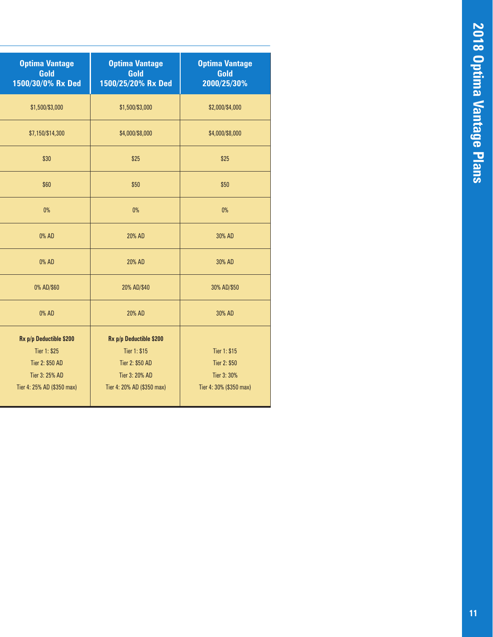| <b>Optima Vantage</b><br>Gold<br>1500/30/0% Rx Ded | <b>Optima Vantage</b><br>Gold<br>1500/25/20% Rx Ded | <b>Optima Vantage</b><br>Gold<br>2000/25/30% |
|----------------------------------------------------|-----------------------------------------------------|----------------------------------------------|
| \$1,500/\$3,000                                    | \$1,500/\$3,000                                     | \$2,000/\$4,000                              |
| \$7,150/\$14,300                                   | \$4,000/\$8,000                                     | \$4,000/\$8,000                              |
| \$30                                               | \$25                                                | \$25                                         |
| \$60                                               | \$50                                                | \$50                                         |
| $0\%$                                              | $0\%$                                               | 0%                                           |
| 0% AD                                              | 20% AD                                              | 30% AD                                       |
| 0% AD                                              | 20% AD                                              | 30% AD                                       |
| 0% AD/\$60                                         | 20% AD/\$40                                         | 30% AD/\$50                                  |
| 0% AD                                              | 20% AD                                              | 30% AD                                       |
| Rx p/p Deductible \$200                            | Rx p/p Deductible \$200                             |                                              |
| Tier 1: \$25                                       | Tier 1: \$15                                        | Tier 1: \$15                                 |
| Tier 2: \$50 AD                                    | Tier 2: \$50 AD                                     | Tier 2: \$50                                 |
| Tier 3: 25% AD                                     | Tier 3: 20% AD                                      | Tier 3: 30%                                  |
| Tier 4: 25% AD (\$350 max)                         | Tier 4: 20% AD (\$350 max)                          | Tier 4: 30% (\$350 max)                      |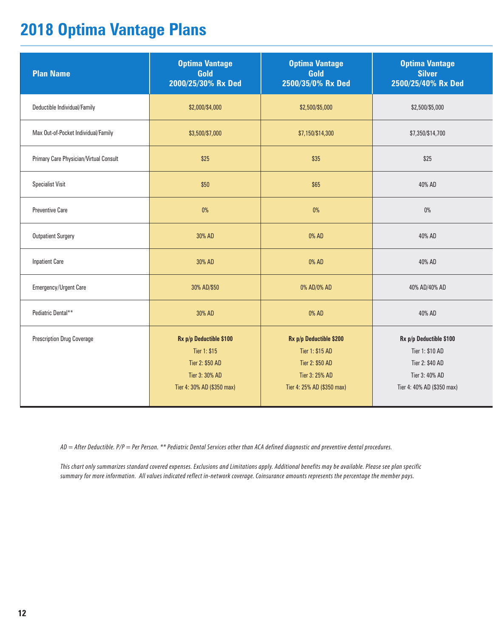### **2018 Optima Vantage Plans**

| <b>Plan Name</b>                       | <b>Optima Vantage</b><br>Gold<br>2000/25/30% Rx Ded                                                        | <b>Optima Vantage</b><br>Gold<br>2500/35/0% Rx Ded                                                            | <b>Optima Vantage</b><br><b>Silver</b><br>2500/25/40% Rx Ded                                                  |
|----------------------------------------|------------------------------------------------------------------------------------------------------------|---------------------------------------------------------------------------------------------------------------|---------------------------------------------------------------------------------------------------------------|
| Deductible Individual/Family           | \$2,000/\$4,000                                                                                            | \$2,500/\$5,000                                                                                               | \$2,500/\$5,000                                                                                               |
| Max Out-of-Pocket Individual/Family    | \$3,500/\$7,000                                                                                            | \$7,150/\$14,300                                                                                              | \$7,350/\$14,700                                                                                              |
| Primary Care Physician/Virtual Consult | \$25                                                                                                       | \$35                                                                                                          | \$25                                                                                                          |
| <b>Specialist Visit</b>                | \$50                                                                                                       | \$65                                                                                                          | 40% AD                                                                                                        |
| <b>Preventive Care</b>                 | $0\%$                                                                                                      | $0\%$                                                                                                         | $0\%$                                                                                                         |
| <b>Outpatient Surgery</b>              | 30% AD                                                                                                     | 0% AD                                                                                                         | 40% AD                                                                                                        |
| <b>Inpatient Care</b>                  | 30% AD                                                                                                     | 0% AD                                                                                                         | 40% AD                                                                                                        |
| Emergency/Urgent Care                  | 30% AD/\$50                                                                                                | 0% AD/0% AD                                                                                                   | 40% AD/40% AD                                                                                                 |
| Pediatric Dental**                     | 30% AD                                                                                                     | 0% AD                                                                                                         | 40% AD                                                                                                        |
| <b>Prescription Drug Coverage</b>      | Rx p/p Deductible \$100<br>Tier 1: \$15<br>Tier 2: \$50 AD<br>Tier 3: 30% AD<br>Tier 4: 30% AD (\$350 max) | Rx p/p Deductible \$200<br>Tier 1: \$15 AD<br>Tier 2: \$50 AD<br>Tier 3: 25% AD<br>Tier 4: 25% AD (\$350 max) | Rx p/p Deductible \$100<br>Tier 1: \$10 AD<br>Tier 2: \$40 AD<br>Tier 3: 40% AD<br>Tier 4: 40% AD (\$350 max) |

*AD = After Deductible. P/P = Per Person. \*\* Pediatric Dental Services other than ACA defined diagnostic and preventive dental procedures.*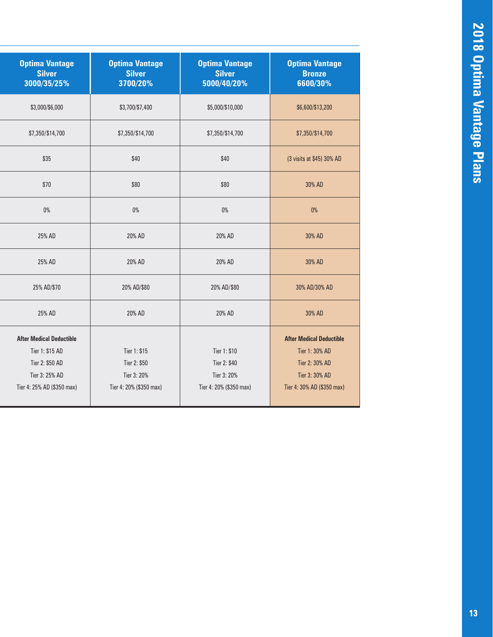| <b>Optima Vantage</b><br><b>Silver</b><br>3000/35/25% | <b>Optima Vantage</b><br><b>Silver</b><br>3700/20% | <b>Optima Vantage</b><br><b>Silver</b><br>5000/40/20% | <b>Optima Vantage</b><br><b>Bronze</b><br>6600/30% |
|-------------------------------------------------------|----------------------------------------------------|-------------------------------------------------------|----------------------------------------------------|
| \$3,000/\$6,000                                       | \$3,700/\$7,400                                    | \$5,000/\$10,000                                      | \$6,600/\$13,200                                   |
| \$7,350/\$14,700                                      | \$7,350/\$14,700                                   | \$7,350/\$14,700                                      | \$7,350/\$14,700                                   |
| \$35                                                  | \$40                                               | \$40                                                  | (3 visits at \$45) 30% AD                          |
| \$70                                                  | \$80                                               | \$80                                                  | 30% AD                                             |
| 0%                                                    | $0\%$                                              | 0%                                                    | 0%                                                 |
| 25% AD                                                | 20% AD                                             | 20% AD                                                | 30% AD                                             |
| 25% AD                                                | 20% AD                                             | 20% AD                                                | 30% AD                                             |
| 25% AD/\$70                                           | 20% AD/\$80                                        | 20% AD/\$80                                           | 30% AD/30% AD                                      |
| 25% AD                                                | 20% AD                                             | 20% AD                                                | 30% AD                                             |
| <b>After Medical Deductible</b>                       |                                                    |                                                       | <b>After Medical Deductible</b>                    |
| Tier 1: \$15 AD                                       | Tier 1: \$15                                       | Tier 1: \$10                                          | Tier 1: 30% AD                                     |
| Tier 2: \$50 AD                                       | Tier 2: \$50                                       | Tier 2: \$40                                          | Tier 2: 30% AD                                     |
| Tier 3: 25% AD                                        | Tier 3: 20%                                        | Tier 3: 20%                                           | Tier 3: 30% AD                                     |
| Tier 4: 25% AD (\$350 max)                            | Tier 4: 20% (\$350 max)                            | Tier 4: 20% (\$350 max)                               | Tier 4: 30% AD (\$350 max)                         |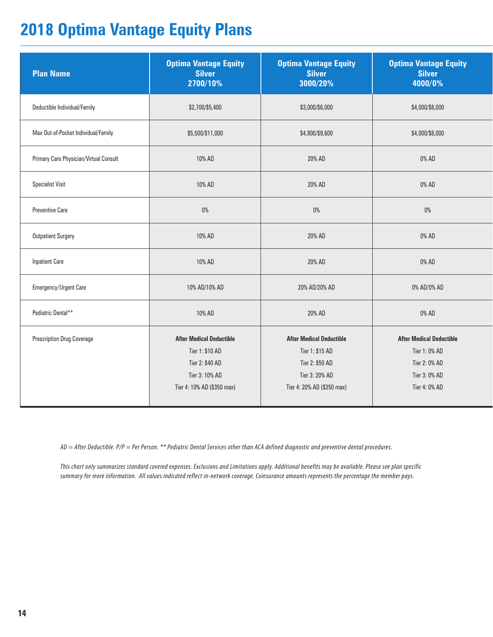### **2018 Optima Vantage Equity Plans**

| <b>Plan Name</b>                       | <b>Optima Vantage Equity</b><br><b>Silver</b><br>2700/10%                                                             | <b>Optima Vantage Equity</b><br><b>Silver</b><br>3000/20%                                                             | <b>Optima Vantage Equity</b><br><b>Silver</b><br>4000/0%                                            |
|----------------------------------------|-----------------------------------------------------------------------------------------------------------------------|-----------------------------------------------------------------------------------------------------------------------|-----------------------------------------------------------------------------------------------------|
| Deductible Individual/Family           | \$2,700/\$5,400                                                                                                       | \$3,000/\$6,000                                                                                                       | \$4,000/\$8,000                                                                                     |
| Max Out-of-Pocket Individual/Family    | \$5,500/\$11,000                                                                                                      | \$4,800/\$9,600                                                                                                       | \$4,000/\$8,000                                                                                     |
| Primary Care Physician/Virtual Consult | 10% AD                                                                                                                | 20% AD                                                                                                                | 0% AD                                                                                               |
| <b>Specialist Visit</b>                | 10% AD                                                                                                                | 20% AD                                                                                                                | 0% AD                                                                                               |
| <b>Preventive Care</b>                 | $0\%$                                                                                                                 | $0\%$                                                                                                                 | $0\%$                                                                                               |
| <b>Outpatient Surgery</b>              | 10% AD                                                                                                                | 20% AD                                                                                                                | 0% AD                                                                                               |
| <b>Inpatient Care</b>                  | 10% AD                                                                                                                | 20% AD                                                                                                                | 0% AD                                                                                               |
| Emergency/Urgent Care                  | 10% AD/10% AD                                                                                                         | 20% AD/20% AD                                                                                                         | 0% AD/0% AD                                                                                         |
| Pediatric Dental**                     | 10% AD                                                                                                                | 20% AD                                                                                                                | 0% AD                                                                                               |
| <b>Prescription Drug Coverage</b>      | <b>After Medical Deductible</b><br>Tier 1: \$10 AD<br>Tier 2: \$40 AD<br>Tier 3: 10% AD<br>Tier 4: 10% AD (\$350 max) | <b>After Medical Deductible</b><br>Tier 1: \$15 AD<br>Tier 2: \$50 AD<br>Tier 3: 20% AD<br>Tier 4: 20% AD (\$350 max) | <b>After Medical Deductible</b><br>Tier 1: 0% AD<br>Tier 2: 0% AD<br>Tier 3: 0% AD<br>Tier 4: 0% AD |

*AD = After Deductible. P/P = Per Person. \*\* Pediatric Dental Services other than ACA defined diagnostic and preventive dental procedures.*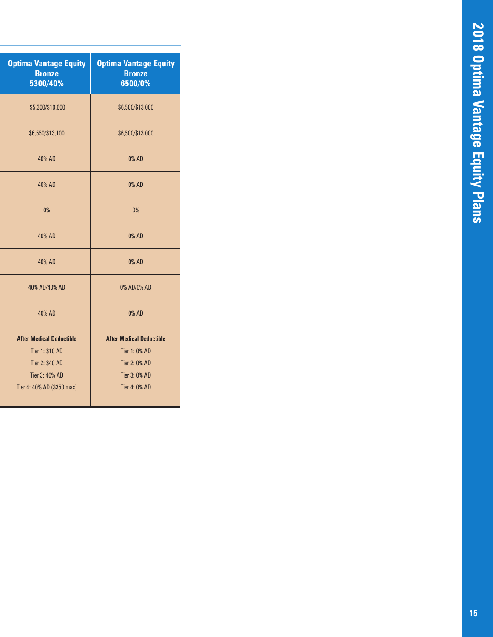| <b>Optima Vantage Equity</b><br><b>Bronze</b><br>5300/40% | <b>Optima Vantage Equity</b><br><b>Bronze</b><br>6500/0% |
|-----------------------------------------------------------|----------------------------------------------------------|
| \$5,300/\$10,600                                          | \$6,500/\$13,000                                         |
| \$6,550/\$13,100                                          | \$6,500/\$13,000                                         |
| 40% AD                                                    | 0% AD                                                    |
| 40% AD                                                    | 0% AD                                                    |
| 0%                                                        | 0%                                                       |
| 40% AD                                                    | 0% AD                                                    |
| 40% AD                                                    | 0% AD                                                    |
| 40% AD/40% AD                                             | 0% AD/0% AD                                              |
| 40% AD                                                    | 0% AD                                                    |
| <b>After Medical Deductible</b>                           | <b>After Medical Deductible</b>                          |
| Tier 1: \$10 AD                                           | Tier 1: 0% AD                                            |
| <b>Tier 2: \$40 AD</b>                                    | Tier 2: 0% AD                                            |
| Tier 3: 40% AD                                            | Tier 3: 0% AD                                            |
| Tier 4: 40% AD (\$350 max)                                | Tier 4: 0% AD                                            |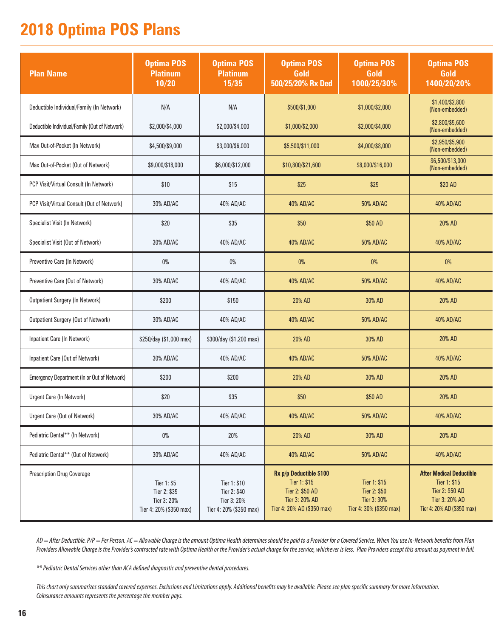### **2018 Optima POS Plans**

| <b>Plan Name</b>                                   | <b>Optima POS</b><br><b>Platinum</b><br>10/20                         | <b>Optima POS</b><br><b>Platinum</b><br>15/35                          | <b>Optima POS</b><br>Gold<br>500/25/20% Rx Ded                                                             | <b>Optima POS</b><br>Gold<br>1000/25/30%                               | <b>Optima POS</b><br>Gold<br>1400/20/20%                                                                           |
|----------------------------------------------------|-----------------------------------------------------------------------|------------------------------------------------------------------------|------------------------------------------------------------------------------------------------------------|------------------------------------------------------------------------|--------------------------------------------------------------------------------------------------------------------|
| Deductible Individual/Family (In Network)          | N/A                                                                   | N/A                                                                    | \$500/\$1,000                                                                                              | \$1,000/\$2,000                                                        | \$1,400/\$2,800<br>(Non-embedded)                                                                                  |
| Deductible Individual/Family (Out of Network)      | \$2,000/\$4,000                                                       | \$2,000/\$4,000                                                        | \$1,000/\$2,000                                                                                            | \$2,000/\$4,000                                                        | \$2,800/\$5,600<br>(Non-embedded)                                                                                  |
| Max Out-of-Pocket (In Network)                     | \$4,500/\$9,000                                                       | \$3,000/\$6,000                                                        | \$5,500/\$11,000                                                                                           | \$4,000/\$8,000                                                        | \$2,950/\$5,900<br>(Non-embedded)                                                                                  |
| Max Out-of-Pocket (Out of Network)                 | \$9,000/\$18,000                                                      | \$6,000/\$12,000                                                       | \$10,800/\$21,600                                                                                          | \$8,000/\$16,000                                                       | \$6,500/\$13,000<br>(Non-embedded)                                                                                 |
| PCP Visit/Virtual Consult (In Network)             | \$10                                                                  | \$15                                                                   | \$25                                                                                                       | \$25                                                                   | \$20 AD                                                                                                            |
| PCP Visit/Virtual Consult (Out of Network)         | 30% AD/AC                                                             | 40% AD/AC                                                              | 40% AD/AC                                                                                                  | 50% AD/AC                                                              | 40% AD/AC                                                                                                          |
| Specialist Visit (In Network)                      | \$20                                                                  | \$35                                                                   | \$50                                                                                                       | \$50 AD                                                                | 20% AD                                                                                                             |
| Specialist Visit (Out of Network)                  | 30% AD/AC                                                             | 40% AD/AC                                                              | 40% AD/AC                                                                                                  | 50% AD/AC                                                              | 40% AD/AC                                                                                                          |
| Preventive Care (In Network)                       | $0\%$                                                                 | $0\%$                                                                  | $0\%$                                                                                                      | 0%                                                                     | 0%                                                                                                                 |
| Preventive Care (Out of Network)                   | 30% AD/AC                                                             | 40% AD/AC                                                              | 40% AD/AC                                                                                                  | 50% AD/AC                                                              | 40% AD/AC                                                                                                          |
| <b>Outpatient Surgery (In Network)</b>             | \$200                                                                 | \$150                                                                  | 20% AD                                                                                                     | 30% AD                                                                 | 20% AD                                                                                                             |
| Outpatient Surgery (Out of Network)                | 30% AD/AC                                                             | 40% AD/AC                                                              | 40% AD/AC                                                                                                  | 50% AD/AC                                                              | 40% AD/AC                                                                                                          |
| Inpatient Care (In Network)                        | \$250/day (\$1,000 max)                                               | \$300/day (\$1,200 max)                                                | 20% AD                                                                                                     | 30% AD                                                                 | 20% AD                                                                                                             |
| Inpatient Care (Out of Network)                    | 30% AD/AC                                                             | 40% AD/AC                                                              | 40% AD/AC                                                                                                  | 50% AD/AC                                                              | 40% AD/AC                                                                                                          |
| <b>Emergency Department (In or Out of Network)</b> | \$200                                                                 | \$200                                                                  | 20% AD                                                                                                     | 30% AD                                                                 | 20% AD                                                                                                             |
| Urgent Care (In Network)                           | \$20                                                                  | \$35                                                                   | \$50                                                                                                       | \$50 AD                                                                | 20% AD                                                                                                             |
| Urgent Care (Out of Network)                       | 30% AD/AC                                                             | 40% AD/AC                                                              | 40% AD/AC                                                                                                  | 50% AD/AC                                                              | 40% AD/AC                                                                                                          |
| Pediatric Dental** (In Network)                    | $0\%$                                                                 | 20%                                                                    | 20% AD                                                                                                     | 30% AD                                                                 | 20% AD                                                                                                             |
| Pediatric Dental** (Out of Network)                | 30% AD/AC                                                             | 40% AD/AC                                                              | 40% AD/AC                                                                                                  | 50% AD/AC                                                              | 40% AD/AC                                                                                                          |
| <b>Prescription Drug Coverage</b>                  | Tier 1: \$5<br>Tier 2: \$35<br>Tier 3: 20%<br>Tier 4: 20% (\$350 max) | Tier 1: \$10<br>Tier 2: \$40<br>Tier 3: 20%<br>Tier 4: 20% (\$350 max) | Rx p/p Deductible \$100<br>Tier 1: \$15<br>Tier 2: \$50 AD<br>Tier 3: 20% AD<br>Tier 4: 20% AD (\$350 max) | Tier 1: \$15<br>Tier 2: \$50<br>Tier 3: 30%<br>Tier 4: 30% (\$350 max) | <b>After Medical Deductible</b><br>Tier 1: \$15<br>Tier 2: \$50 AD<br>Tier 3: 20% AD<br>Tier 4: 20% AD (\$350 max) |

*AD = After Deductible. P/P = Per Person. AC = Allowable Charge is the amount Optima Health determines should be paid to a Provider for a Covered Service. When You use In-Network benefits from Plan Providers Allowable Charge is the Provider's contracted rate with Optima Health or the Provider's actual charge for the service, whichever is less. Plan Providers accept this amount as payment in full.*

*\*\* Pediatric Dental Services other than ACA defined diagnostic and preventive dental procedures.*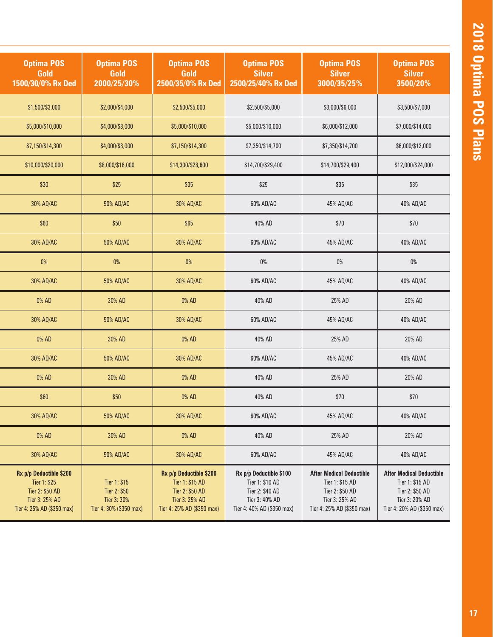| <b>Optima POS</b><br>Gold<br>1500/30/0% Rx Ded                                                             | <b>Optima POS</b><br>Gold<br>2000/25/30%                               | <b>Optima POS</b><br>Gold<br>2500/35/0% Rx Ded                                                                | <b>Optima POS</b><br><b>Silver</b><br>2500/25/40% Rx Ded                                                      | <b>Optima POS</b><br><b>Silver</b><br>3000/35/25%                                                                     | <b>Optima POS</b><br><b>Silver</b><br>3500/20%                                                                        |
|------------------------------------------------------------------------------------------------------------|------------------------------------------------------------------------|---------------------------------------------------------------------------------------------------------------|---------------------------------------------------------------------------------------------------------------|-----------------------------------------------------------------------------------------------------------------------|-----------------------------------------------------------------------------------------------------------------------|
| \$1,500/\$3,000                                                                                            | \$2,000/\$4,000                                                        | \$2,500/\$5,000                                                                                               | \$2,500/\$5,000                                                                                               | \$3,000/\$6,000                                                                                                       | \$3,500/\$7,000                                                                                                       |
| \$5,000/\$10,000                                                                                           | \$4,000/\$8,000                                                        | \$5,000/\$10,000                                                                                              | \$5,000/\$10,000                                                                                              | \$6,000/\$12,000                                                                                                      | \$7,000/\$14,000                                                                                                      |
| \$7,150/\$14,300                                                                                           | \$4,000/\$8,000                                                        | \$7,150/\$14,300                                                                                              | \$7,350/\$14,700                                                                                              | \$7,350/\$14,700                                                                                                      | \$6,000/\$12,000                                                                                                      |
| \$10,000/\$20,000                                                                                          | \$8,000/\$16,000                                                       | \$14,300/\$28,600                                                                                             | \$14,700/\$29,400                                                                                             | \$14,700/\$29,400                                                                                                     | \$12,000/\$24,000                                                                                                     |
| \$30                                                                                                       | \$25                                                                   | \$35                                                                                                          | \$25                                                                                                          | \$35                                                                                                                  | \$35                                                                                                                  |
| 30% AD/AC                                                                                                  | 50% AD/AC                                                              | 30% AD/AC                                                                                                     | 60% AD/AC                                                                                                     | 45% AD/AC                                                                                                             | 40% AD/AC                                                                                                             |
| \$60                                                                                                       | \$50                                                                   | \$65                                                                                                          | 40% AD                                                                                                        | \$70                                                                                                                  | \$70                                                                                                                  |
| 30% AD/AC                                                                                                  | 50% AD/AC                                                              | 30% AD/AC                                                                                                     | 60% AD/AC                                                                                                     | 45% AD/AC                                                                                                             | 40% AD/AC                                                                                                             |
| $0\%$                                                                                                      | $0\%$                                                                  | $0\%$                                                                                                         | $0\%$                                                                                                         | $0\%$                                                                                                                 | $0\%$                                                                                                                 |
| 30% AD/AC                                                                                                  | 50% AD/AC                                                              | 30% AD/AC                                                                                                     | 60% AD/AC                                                                                                     | 45% AD/AC                                                                                                             | 40% AD/AC                                                                                                             |
| 0% AD                                                                                                      | 30% AD                                                                 | 0% AD                                                                                                         | 40% AD                                                                                                        | 25% AD                                                                                                                | 20% AD                                                                                                                |
| 30% AD/AC                                                                                                  | 50% AD/AC                                                              | 30% AD/AC                                                                                                     | 60% AD/AC                                                                                                     | 45% AD/AC                                                                                                             | 40% AD/AC                                                                                                             |
| 0% AD                                                                                                      | 30% AD                                                                 | 0% AD                                                                                                         | 40% AD                                                                                                        | 25% AD                                                                                                                | 20% AD                                                                                                                |
| 30% AD/AC                                                                                                  | 50% AD/AC                                                              | 30% AD/AC                                                                                                     | 60% AD/AC                                                                                                     | 45% AD/AC                                                                                                             | 40% AD/AC                                                                                                             |
| 0% AD                                                                                                      | 30% AD                                                                 | 0% AD                                                                                                         | 40% AD                                                                                                        | 25% AD                                                                                                                | 20% AD                                                                                                                |
| \$60                                                                                                       | \$50                                                                   | 0% AD                                                                                                         | 40% AD                                                                                                        | \$70                                                                                                                  | \$70                                                                                                                  |
| 30% AD/AC                                                                                                  | 50% AD/AC                                                              | 30% AD/AC                                                                                                     | 60% AD/AC                                                                                                     | 45% AD/AC                                                                                                             | 40% AD/AC                                                                                                             |
| 0% AD                                                                                                      | 30% AD                                                                 | 0% AD                                                                                                         | 40% AD                                                                                                        | 25% AD                                                                                                                | 20% AD                                                                                                                |
| 30% AD/AC                                                                                                  | 50% AD/AC                                                              | 30% AD/AC                                                                                                     | 60% AD/AC                                                                                                     | 45% AD/AC                                                                                                             | 40% AD/AC                                                                                                             |
| Rx p/p Deductible \$200<br>Tier 1: \$25<br>Tier 2: \$50 AD<br>Tier 3: 25% AD<br>Tier 4: 25% AD (\$350 max) | Tier 1: \$15<br>Tier 2: \$50<br>Tier 3: 30%<br>Tier 4: 30% (\$350 max) | Rx p/p Deductible \$200<br>Tier 1: \$15 AD<br>Tier 2: \$50 AD<br>Tier 3: 25% AD<br>Tier 4: 25% AD (\$350 max) | Rx p/p Deductible \$100<br>Tier 1: \$10 AD<br>Tier 2: \$40 AD<br>Tier 3: 40% AD<br>Tier 4: 40% AD (\$350 max) | <b>After Medical Deductible</b><br>Tier 1: \$15 AD<br>Tier 2: \$50 AD<br>Tier 3: 25% AD<br>Tier 4: 25% AD (\$350 max) | <b>After Medical Deductible</b><br>Tier 1: \$15 AD<br>Tier 2: \$50 AD<br>Tier 3: 20% AD<br>Tier 4: 20% AD (\$350 max) |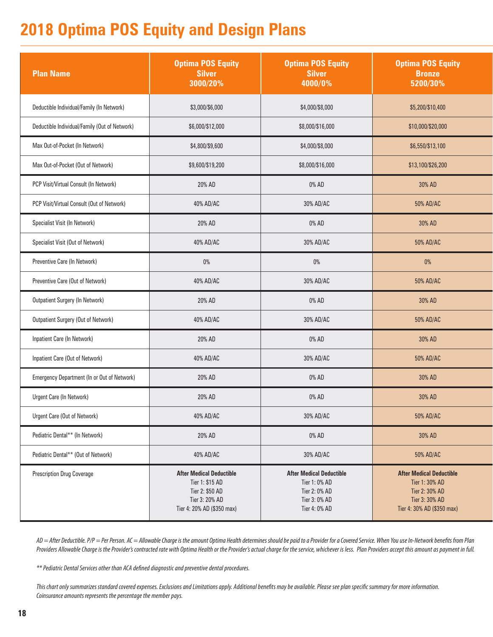## **2018 Optima POS Equity and Design Plans**

| <b>Plan Name</b>                              | <b>Optima POS Equity</b><br><b>Silver</b><br>3000/20%                                                                 | <b>Optima POS Equity</b><br><b>Silver</b><br>4000/0%                                                | <b>Optima POS Equity</b><br><b>Bronze</b><br>5200/30%                                                               |
|-----------------------------------------------|-----------------------------------------------------------------------------------------------------------------------|-----------------------------------------------------------------------------------------------------|---------------------------------------------------------------------------------------------------------------------|
| Deductible Individual/Family (In Network)     | \$3,000/\$6,000                                                                                                       | \$4,000/\$8,000                                                                                     | \$5,200/\$10,400                                                                                                    |
| Deductible Individual/Family (Out of Network) | \$6,000/\$12,000                                                                                                      | \$8,000/\$16,000                                                                                    | \$10,000/\$20,000                                                                                                   |
| Max Out-of-Pocket (In Network)                | \$4,800/\$9,600                                                                                                       | \$4,000/\$8,000                                                                                     | \$6,550/\$13,100                                                                                                    |
| Max Out-of-Pocket (Out of Network)            | \$9,600/\$19,200                                                                                                      | \$8,000/\$16,000                                                                                    | \$13,100/\$26,200                                                                                                   |
| PCP Visit/Virtual Consult (In Network)        | 20% AD                                                                                                                | 0% AD                                                                                               | 30% AD                                                                                                              |
| PCP Visit/Virtual Consult (Out of Network)    | 40% AD/AC                                                                                                             | 30% AD/AC                                                                                           | 50% AD/AC                                                                                                           |
| Specialist Visit (In Network)                 | 20% AD                                                                                                                | 0% AD                                                                                               | 30% AD                                                                                                              |
| Specialist Visit (Out of Network)             | 40% AD/AC                                                                                                             | 30% AD/AC                                                                                           | 50% AD/AC                                                                                                           |
| Preventive Care (In Network)                  | $0\%$                                                                                                                 | $0\%$                                                                                               | $0\%$                                                                                                               |
| Preventive Care (Out of Network)              | 40% AD/AC                                                                                                             | 30% AD/AC                                                                                           | 50% AD/AC                                                                                                           |
| <b>Outpatient Surgery (In Network)</b>        | 20% AD                                                                                                                | 0% AD                                                                                               | 30% AD                                                                                                              |
| Outpatient Surgery (Out of Network)           | 40% AD/AC                                                                                                             | 30% AD/AC                                                                                           | 50% AD/AC                                                                                                           |
| Inpatient Care (In Network)                   | 20% AD                                                                                                                | 0% AD                                                                                               | 30% AD                                                                                                              |
| Inpatient Care (Out of Network)               | 40% AD/AC                                                                                                             | 30% AD/AC                                                                                           | 50% AD/AC                                                                                                           |
| Emergency Department (In or Out of Network)   | 20% AD                                                                                                                | 0% AD                                                                                               | 30% AD                                                                                                              |
| Urgent Care (In Network)                      | 20% AD                                                                                                                | 0% AD                                                                                               | 30% AD                                                                                                              |
| Urgent Care (Out of Network)                  | 40% AD/AC                                                                                                             | 30% AD/AC                                                                                           | 50% AD/AC                                                                                                           |
| Pediatric Dental** (In Network)               | 20% AD                                                                                                                | 0% AD                                                                                               | 30% AD                                                                                                              |
| Pediatric Dental** (Out of Network)           | 40% AD/AC                                                                                                             | 30% AD/AC                                                                                           | 50% AD/AC                                                                                                           |
| <b>Prescription Drug Coverage</b>             | <b>After Medical Deductible</b><br>Tier 1: \$15 AD<br>Tier 2: \$50 AD<br>Tier 3: 20% AD<br>Tier 4: 20% AD (\$350 max) | <b>After Medical Deductible</b><br>Tier 1: 0% AD<br>Tier 2: 0% AD<br>Tier 3: 0% AD<br>Tier 4: 0% AD | <b>After Medical Deductible</b><br>Tier 1: 30% AD<br>Tier 2: 30% AD<br>Tier 3: 30% AD<br>Tier 4: 30% AD (\$350 max) |

*AD = After Deductible. P/P = Per Person. AC = Allowable Charge is the amount Optima Health determines should be paid to a Provider for a Covered Service. When You use In-Network benefits from Plan Providers Allowable Charge is the Provider's contracted rate with Optima Health or the Provider's actual charge for the service, whichever is less. Plan Providers accept this amount as payment in full.*

*\*\* Pediatric Dental Services other than ACA defined diagnostic and preventive dental procedures.*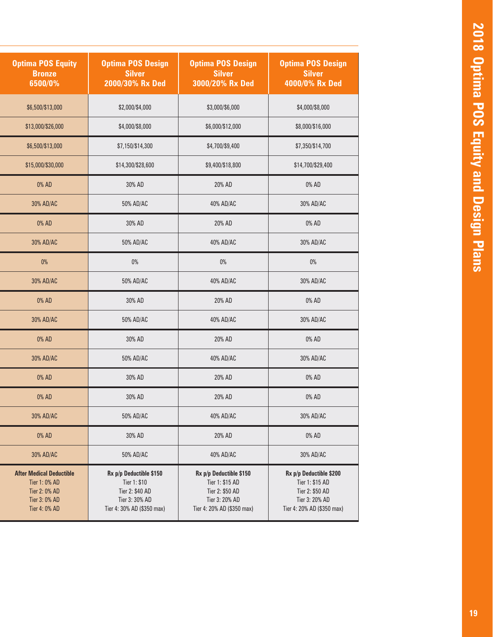| <b>Optima POS Equity</b><br><b>Bronze</b><br>6500/0%                                                | <b>Optima POS Design</b><br><b>Silver</b><br>2000/30% Rx Ded                                               | <b>Optima POS Design</b><br><b>Silver</b><br>3000/20% Rx Ded                                                  | <b>Optima POS Design</b><br><b>Silver</b><br>4000/0% Rx Ded                                                   |
|-----------------------------------------------------------------------------------------------------|------------------------------------------------------------------------------------------------------------|---------------------------------------------------------------------------------------------------------------|---------------------------------------------------------------------------------------------------------------|
| \$6,500/\$13,000                                                                                    | \$2,000/\$4,000                                                                                            | \$3,000/\$6,000                                                                                               | \$4,000/\$8,000                                                                                               |
| \$13,000/\$26,000                                                                                   | \$4,000/\$8,000                                                                                            | \$6,000/\$12,000                                                                                              | \$8,000/\$16,000                                                                                              |
| \$6,500/\$13,000                                                                                    | \$7,150/\$14,300                                                                                           | \$4,700/\$9,400                                                                                               | \$7,350/\$14,700                                                                                              |
| \$15,000/\$30,000                                                                                   | \$14,300/\$28,600                                                                                          | \$9,400/\$18,800                                                                                              |                                                                                                               |
| 0% AD                                                                                               | 30% AD                                                                                                     | 20% AD                                                                                                        | 0% AD                                                                                                         |
| 30% AD/AC                                                                                           | 50% AD/AC                                                                                                  | 40% AD/AC                                                                                                     | 30% AD/AC                                                                                                     |
| 0% AD                                                                                               | 30% AD                                                                                                     | 20% AD                                                                                                        | 0% AD                                                                                                         |
| 30% AD/AC                                                                                           | 50% AD/AC                                                                                                  | 40% AD/AC                                                                                                     | 30% AD/AC                                                                                                     |
| $0\%$                                                                                               | $0\%$                                                                                                      | $0\%$                                                                                                         | $0\%$                                                                                                         |
| 30% AD/AC                                                                                           | 50% AD/AC                                                                                                  | 40% AD/AC                                                                                                     | 30% AD/AC                                                                                                     |
| 0% AD                                                                                               | 30% AD                                                                                                     | 20% AD                                                                                                        | 0% AD                                                                                                         |
| 30% AD/AC                                                                                           | 50% AD/AC                                                                                                  | 40% AD/AC                                                                                                     | 30% AD/AC                                                                                                     |
| 0% AD                                                                                               | 30% AD                                                                                                     | 20% AD                                                                                                        | 0% AD                                                                                                         |
| 30% AD/AC                                                                                           | 50% AD/AC                                                                                                  | 40% AD/AC                                                                                                     | 30% AD/AC                                                                                                     |
| 0% AD                                                                                               | 30% AD                                                                                                     | 20% AD                                                                                                        | 0% AD                                                                                                         |
| 0% AD                                                                                               | 30% AD                                                                                                     | 20% AD                                                                                                        | 0% AD                                                                                                         |
| 30% AD/AC                                                                                           | 50% AD/AC                                                                                                  | 40% AD/AC                                                                                                     | 30% AD/AC                                                                                                     |
| 0% AD                                                                                               | 30% AD                                                                                                     | 20% AD                                                                                                        |                                                                                                               |
| 30% AD/AC                                                                                           | 50% AD/AC                                                                                                  | 40% AD/AC                                                                                                     | 30% AD/AC                                                                                                     |
| <b>After Medical Deductible</b><br>Tier 1: 0% AD<br>Tier 2: 0% AD<br>Tier 3: 0% AD<br>Tier 4: 0% AD | Rx p/p Deductible \$150<br>Tier 1: \$10<br>Tier 2: \$40 AD<br>Tier 3: 30% AD<br>Tier 4: 30% AD (\$350 max) | Rx p/p Deductible \$150<br>Tier 1: \$15 AD<br>Tier 2: \$50 AD<br>Tier 3: 20% AD<br>Tier 4: 20% AD (\$350 max) | Rx p/p Deductible \$200<br>Tier 1: \$15 AD<br>Tier 2: \$50 AD<br>Tier 3: 20% AD<br>Tier 4: 20% AD (\$350 max) |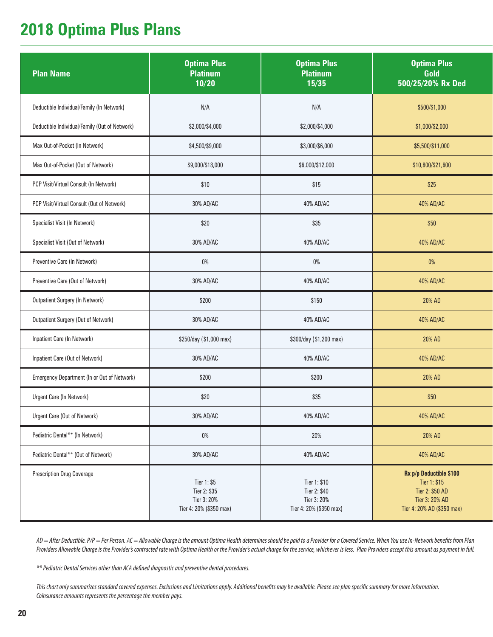### **2018 Optima Plus Plans**

| <b>Plan Name</b>                              | <b>Optima Plus</b><br><b>Platinum</b><br>10/20                        | <b>Optima Plus</b><br><b>Platinum</b><br>15/35                         | <b>Optima Plus</b><br>Gold<br>500/25/20% Rx Ded                                                            |
|-----------------------------------------------|-----------------------------------------------------------------------|------------------------------------------------------------------------|------------------------------------------------------------------------------------------------------------|
| Deductible Individual/Family (In Network)     | N/A                                                                   | N/A                                                                    | \$500/\$1,000                                                                                              |
| Deductible Individual/Family (Out of Network) | \$2,000/\$4,000                                                       | \$2,000/\$4,000                                                        | \$1,000/\$2,000                                                                                            |
| Max Out-of-Pocket (In Network)                | \$4,500/\$9,000                                                       | \$3,000/\$6,000                                                        | \$5,500/\$11,000                                                                                           |
| Max Out-of-Pocket (Out of Network)            | \$9,000/\$18,000                                                      | \$6,000/\$12,000                                                       | \$10,800/\$21,600                                                                                          |
| PCP Visit/Virtual Consult (In Network)        | \$10                                                                  | \$15                                                                   | \$25                                                                                                       |
| PCP Visit/Virtual Consult (Out of Network)    | 30% AD/AC                                                             | 40% AD/AC                                                              | 40% AD/AC                                                                                                  |
| Specialist Visit (In Network)                 | \$20                                                                  | \$35                                                                   | \$50                                                                                                       |
| Specialist Visit (Out of Network)             | 30% AD/AC                                                             | 40% AD/AC                                                              | 40% AD/AC                                                                                                  |
| Preventive Care (In Network)                  | $0\%$                                                                 | $0\%$                                                                  | $0\%$                                                                                                      |
| Preventive Care (Out of Network)              | 30% AD/AC                                                             | 40% AD/AC                                                              | 40% AD/AC                                                                                                  |
| <b>Outpatient Surgery (In Network)</b>        | \$200                                                                 | \$150                                                                  | 20% AD                                                                                                     |
| Outpatient Surgery (Out of Network)           | 30% AD/AC                                                             | 40% AD/AC                                                              | 40% AD/AC                                                                                                  |
| Inpatient Care (In Network)                   | \$250/day (\$1,000 max)                                               | \$300/day (\$1,200 max)                                                | 20% AD                                                                                                     |
| Inpatient Care (Out of Network)               | 30% AD/AC                                                             | 40% AD/AC                                                              | 40% AD/AC                                                                                                  |
| Emergency Department (In or Out of Network)   | \$200                                                                 | \$200                                                                  | 20% AD                                                                                                     |
| Urgent Care (In Network)                      | \$20                                                                  | \$35                                                                   | \$50                                                                                                       |
| Urgent Care (Out of Network)                  | 30% AD/AC                                                             | 40% AD/AC                                                              | 40% AD/AC                                                                                                  |
| Pediatric Dental** (In Network)               | $0\%$                                                                 | 20%                                                                    | 20% AD                                                                                                     |
| Pediatric Dental** (Out of Network)           | 30% AD/AC                                                             | 40% AD/AC                                                              | 40% AD/AC                                                                                                  |
| <b>Prescription Drug Coverage</b>             | Tier 1: \$5<br>Tier 2: \$35<br>Tier 3: 20%<br>Tier 4: 20% (\$350 max) | Tier 1: \$10<br>Tier 2: \$40<br>Tier 3: 20%<br>Tier 4: 20% (\$350 max) | Rx p/p Deductible \$100<br>Tier 1: \$15<br>Tier 2: \$50 AD<br>Tier 3: 20% AD<br>Tier 4: 20% AD (\$350 max) |

*AD = After Deductible. P/P = Per Person. AC = Allowable Charge is the amount Optima Health determines should be paid to a Provider for a Covered Service. When You use In-Network benefits from Plan Providers Allowable Charge is the Provider's contracted rate with Optima Health or the Provider's actual charge for the service, whichever is less. Plan Providers accept this amount as payment in full.*

*\*\* Pediatric Dental Services other than ACA defined diagnostic and preventive dental procedures.*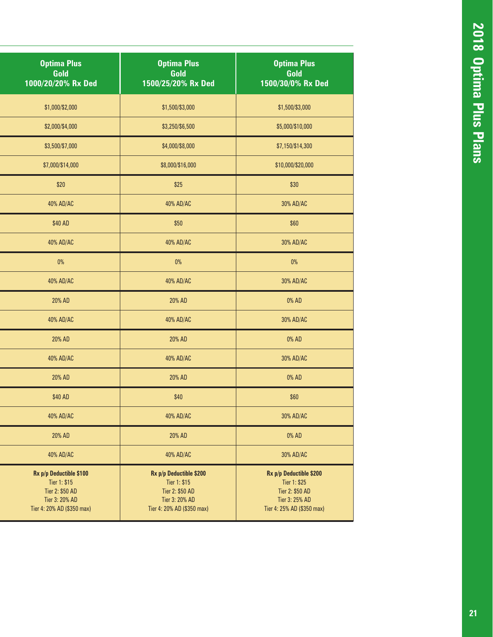| <b>Optima Plus</b><br>Gold<br>1000/20/20% Rx Ded                                                           | <b>Optima Plus</b><br>Gold<br>1500/25/20% Rx Ded                                                           | <b>Optima Plus</b><br>Gold<br>1500/30/0% Rx Ded                                                            |
|------------------------------------------------------------------------------------------------------------|------------------------------------------------------------------------------------------------------------|------------------------------------------------------------------------------------------------------------|
| \$1,000/\$2,000                                                                                            | \$1,500/\$3,000                                                                                            | \$1,500/\$3,000                                                                                            |
| \$2,000/\$4,000                                                                                            | \$3,250/\$6,500                                                                                            | \$5,000/\$10,000                                                                                           |
| \$3,500/\$7,000                                                                                            | \$4,000/\$8,000                                                                                            | \$7,150/\$14,300                                                                                           |
| \$7,000/\$14,000                                                                                           | \$8,000/\$16,000                                                                                           | \$10,000/\$20,000                                                                                          |
| \$20                                                                                                       | \$25                                                                                                       | \$30                                                                                                       |
| 40% AD/AC                                                                                                  | 40% AD/AC                                                                                                  | 30% AD/AC                                                                                                  |
| \$40 AD                                                                                                    | \$50                                                                                                       | \$60                                                                                                       |
| 40% AD/AC                                                                                                  | 40% AD/AC                                                                                                  | 30% AD/AC                                                                                                  |
| $0\%$                                                                                                      | $0\%$                                                                                                      | $0\%$                                                                                                      |
| 40% AD/AC                                                                                                  | 40% AD/AC                                                                                                  | 30% AD/AC                                                                                                  |
| 20% AD                                                                                                     | 20% AD                                                                                                     | 0% AD                                                                                                      |
| 40% AD/AC                                                                                                  | 40% AD/AC                                                                                                  | 30% AD/AC                                                                                                  |
| 20% AD                                                                                                     | 20% AD                                                                                                     | 0% AD                                                                                                      |
| 40% AD/AC                                                                                                  | 40% AD/AC                                                                                                  | 30% AD/AC                                                                                                  |
| 20% AD                                                                                                     | 20% AD                                                                                                     | 0% AD                                                                                                      |
| \$40 AD                                                                                                    | \$40                                                                                                       | \$60                                                                                                       |
| 40% AD/AC                                                                                                  | 40% AD/AC                                                                                                  | 30% AD/AC                                                                                                  |
| 20% AD                                                                                                     | 20% AD                                                                                                     | 0% AD                                                                                                      |
| 40% AD/AC                                                                                                  | 40% AD/AC                                                                                                  | 30% AD/AC                                                                                                  |
| Rx p/p Deductible \$100<br>Tier 1: \$15<br>Tier 2: \$50 AD<br>Tier 3: 20% AD<br>Tier 4: 20% AD (\$350 max) | Rx p/p Deductible \$200<br>Tier 1: \$15<br>Tier 2: \$50 AD<br>Tier 3: 20% AD<br>Tier 4: 20% AD (\$350 max) | Rx p/p Deductible \$200<br>Tier 1: \$25<br>Tier 2: \$50 AD<br>Tier 3: 25% AD<br>Tier 4: 25% AD (\$350 max) |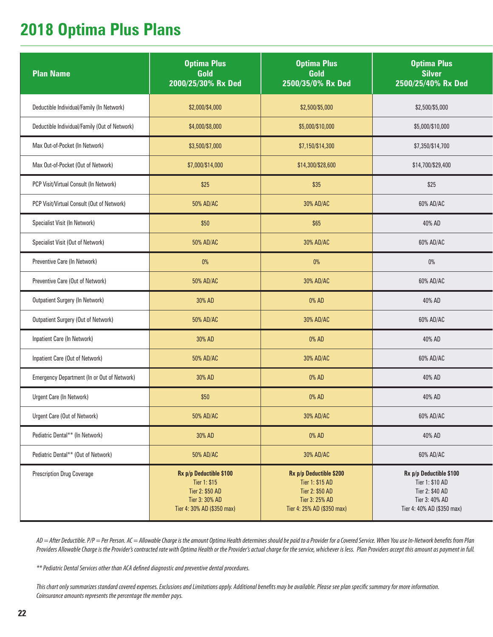### **2018 Optima Plus Plans**

| <b>Plan Name</b>                              | <b>Optima Plus</b><br>Gold<br>2000/25/30% Rx Ded                                                           | <b>Optima Plus</b><br>Gold<br>2500/35/0% Rx Ded                                                               | <b>Optima Plus</b><br><b>Silver</b><br>2500/25/40% Rx Ded                                                     |
|-----------------------------------------------|------------------------------------------------------------------------------------------------------------|---------------------------------------------------------------------------------------------------------------|---------------------------------------------------------------------------------------------------------------|
| Deductible Individual/Family (In Network)     | \$2,000/\$4,000                                                                                            | \$2,500/\$5,000                                                                                               | \$2,500/\$5,000                                                                                               |
| Deductible Individual/Family (Out of Network) | \$4,000/\$8,000                                                                                            | \$5,000/\$10,000                                                                                              | \$5,000/\$10,000                                                                                              |
| Max Out-of-Pocket (In Network)                | \$3,500/\$7,000                                                                                            | \$7,150/\$14,300                                                                                              | \$7,350/\$14,700                                                                                              |
| Max Out-of-Pocket (Out of Network)            | \$7,000/\$14,000                                                                                           | \$14,300/\$28,600                                                                                             | \$14,700/\$29,400                                                                                             |
| PCP Visit/Virtual Consult (In Network)        | \$25                                                                                                       | \$35                                                                                                          | \$25                                                                                                          |
| PCP Visit/Virtual Consult (Out of Network)    | 50% AD/AC                                                                                                  | 30% AD/AC                                                                                                     | 60% AD/AC                                                                                                     |
| Specialist Visit (In Network)                 | \$50                                                                                                       | \$65                                                                                                          | 40% AD                                                                                                        |
| Specialist Visit (Out of Network)             | 50% AD/AC                                                                                                  | 30% AD/AC                                                                                                     | 60% AD/AC                                                                                                     |
| Preventive Care (In Network)                  | $0\%$                                                                                                      | $0\%$                                                                                                         | $0\%$                                                                                                         |
| Preventive Care (Out of Network)              | 50% AD/AC                                                                                                  | 30% AD/AC                                                                                                     | 60% AD/AC                                                                                                     |
| <b>Outpatient Surgery (In Network)</b>        | 30% AD                                                                                                     | 0% AD                                                                                                         | 40% AD                                                                                                        |
| Outpatient Surgery (Out of Network)           | 50% AD/AC                                                                                                  | 30% AD/AC                                                                                                     | 60% AD/AC                                                                                                     |
| Inpatient Care (In Network)                   | 30% AD                                                                                                     | 0% AD                                                                                                         | 40% AD                                                                                                        |
| Inpatient Care (Out of Network)               | 50% AD/AC                                                                                                  | 30% AD/AC                                                                                                     | 60% AD/AC                                                                                                     |
| Emergency Department (In or Out of Network)   | 30% AD                                                                                                     | 0% AD                                                                                                         | 40% AD                                                                                                        |
| Urgent Care (In Network)                      | \$50                                                                                                       | 0% AD                                                                                                         | 40% AD                                                                                                        |
| Urgent Care (Out of Network)                  | 50% AD/AC                                                                                                  | 30% AD/AC                                                                                                     | 60% AD/AC                                                                                                     |
| Pediatric Dental** (In Network)               | 30% AD                                                                                                     | 0% AD                                                                                                         | 40% AD                                                                                                        |
| Pediatric Dental** (Out of Network)           | 50% AD/AC                                                                                                  | 30% AD/AC                                                                                                     | 60% AD/AC                                                                                                     |
| <b>Prescription Drug Coverage</b>             | Rx p/p Deductible \$100<br>Tier 1: \$15<br>Tier 2: \$50 AD<br>Tier 3: 30% AD<br>Tier 4: 30% AD (\$350 max) | Rx p/p Deductible \$200<br>Tier 1: \$15 AD<br>Tier 2: \$50 AD<br>Tier 3: 25% AD<br>Tier 4: 25% AD (\$350 max) | Rx p/p Deductible \$100<br>Tier 1: \$10 AD<br>Tier 2: \$40 AD<br>Tier 3: 40% AD<br>Tier 4: 40% AD (\$350 max) |

*AD = After Deductible. P/P = Per Person. AC = Allowable Charge is the amount Optima Health determines should be paid to a Provider for a Covered Service. When You use In-Network benefits from Plan Providers Allowable Charge is the Provider's contracted rate with Optima Health or the Provider's actual charge for the service, whichever is less. Plan Providers accept this amount as payment in full.*

*\*\* Pediatric Dental Services other than ACA defined diagnostic and preventive dental procedures.*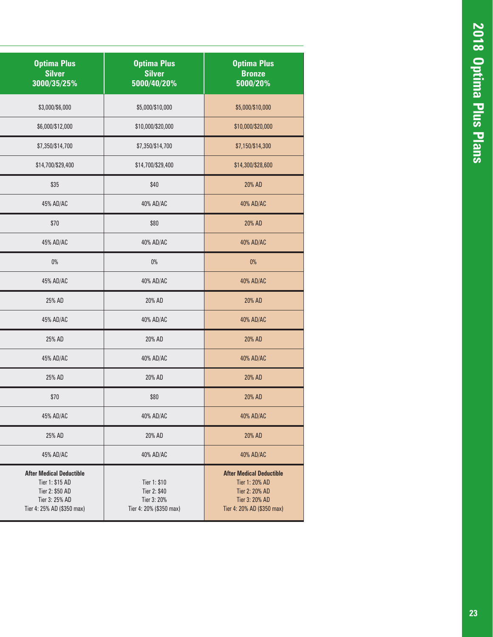| <b>Optima Plus</b><br><b>Silver</b><br>3000/35/25%                                                                    | <b>Optima Plus</b><br><b>Silver</b><br>5000/40/20%                     | <b>Optima Plus</b><br><b>Bronze</b><br>5000/20%                                                                     |
|-----------------------------------------------------------------------------------------------------------------------|------------------------------------------------------------------------|---------------------------------------------------------------------------------------------------------------------|
| \$3,000/\$6,000                                                                                                       | \$5,000/\$10,000                                                       | \$5,000/\$10,000                                                                                                    |
| \$6,000/\$12,000                                                                                                      | \$10,000/\$20,000                                                      | \$10,000/\$20,000                                                                                                   |
| \$7,350/\$14,700                                                                                                      | \$7,350/\$14,700                                                       | \$7,150/\$14,300                                                                                                    |
| \$14,700/\$29,400                                                                                                     | \$14,700/\$29,400                                                      | \$14,300/\$28,600                                                                                                   |
| \$35                                                                                                                  | \$40                                                                   | 20% AD                                                                                                              |
| 45% AD/AC                                                                                                             | 40% AD/AC                                                              | 40% AD/AC                                                                                                           |
| \$70                                                                                                                  | \$80                                                                   | 20% AD                                                                                                              |
| 45% AD/AC                                                                                                             | 40% AD/AC                                                              | 40% AD/AC                                                                                                           |
| $0\%$                                                                                                                 | $0\%$                                                                  | $0\%$                                                                                                               |
| 45% AD/AC                                                                                                             | 40% AD/AC                                                              | 40% AD/AC                                                                                                           |
| 25% AD                                                                                                                | 20% AD                                                                 | 20% AD                                                                                                              |
| 45% AD/AC                                                                                                             | 40% AD/AC                                                              | 40% AD/AC                                                                                                           |
| 25% AD                                                                                                                | 20% AD                                                                 | 20% AD                                                                                                              |
| 45% AD/AC                                                                                                             | 40% AD/AC                                                              | 40% AD/AC                                                                                                           |
| 25% AD                                                                                                                | 20% AD                                                                 | 20% AD                                                                                                              |
| \$70                                                                                                                  | \$80                                                                   | 20% AD                                                                                                              |
| 45% AD/AC                                                                                                             | 40% AD/AC                                                              | 40% AD/AC                                                                                                           |
| 25% AD                                                                                                                | 20% AD                                                                 | 20% AD                                                                                                              |
| 45% AD/AC                                                                                                             | 40% AD/AC                                                              | 40% AD/AC                                                                                                           |
| <b>After Medical Deductible</b><br>Tier 1: \$15 AD<br>Tier 2: \$50 AD<br>Tier 3: 25% AD<br>Tier 4: 25% AD (\$350 max) | Tier 1: \$10<br>Tier 2: \$40<br>Tier 3: 20%<br>Tier 4: 20% (\$350 max) | <b>After Medical Deductible</b><br>Tier 1: 20% AD<br>Tier 2: 20% AD<br>Tier 3: 20% AD<br>Tier 4: 20% AD (\$350 max) |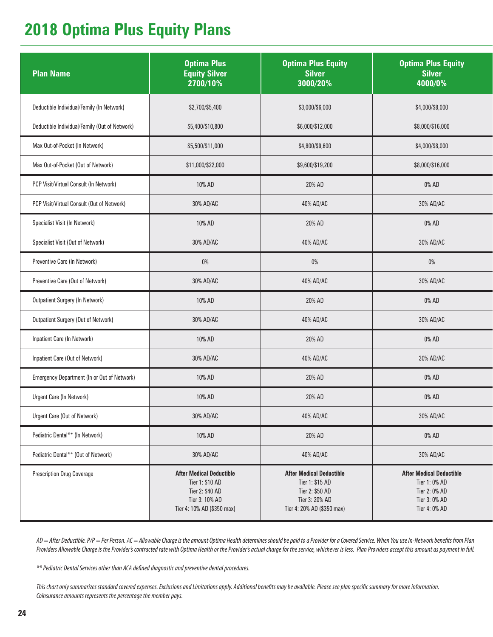### **2018 Optima Plus Equity Plans**

| <b>Plan Name</b>                              | <b>Optima Plus</b><br><b>Equity Silver</b><br>2700/10%                                                                | <b>Optima Plus Equity</b><br><b>Silver</b><br>3000/20%                                                                | <b>Optima Plus Equity</b><br><b>Silver</b><br>4000/0%                                               |
|-----------------------------------------------|-----------------------------------------------------------------------------------------------------------------------|-----------------------------------------------------------------------------------------------------------------------|-----------------------------------------------------------------------------------------------------|
| Deductible Individual/Family (In Network)     | \$2,700/\$5,400                                                                                                       | \$3,000/\$6,000                                                                                                       | \$4,000/\$8,000                                                                                     |
| Deductible Individual/Family (Out of Network) | \$5,400/\$10,800                                                                                                      | \$6,000/\$12,000                                                                                                      | \$8,000/\$16,000                                                                                    |
| Max Out-of-Pocket (In Network)                | \$5,500/\$11,000                                                                                                      | \$4,800/\$9,600                                                                                                       | \$4,000/\$8,000                                                                                     |
| Max Out-of-Pocket (Out of Network)            | \$11,000/\$22,000                                                                                                     | \$9,600/\$19,200                                                                                                      | \$8,000/\$16,000                                                                                    |
| PCP Visit/Virtual Consult (In Network)        | 10% AD                                                                                                                | 20% AD                                                                                                                | 0% AD                                                                                               |
| PCP Visit/Virtual Consult (Out of Network)    | 30% AD/AC                                                                                                             | 40% AD/AC                                                                                                             | 30% AD/AC                                                                                           |
| Specialist Visit (In Network)                 | 10% AD                                                                                                                | 20% AD                                                                                                                | 0% AD                                                                                               |
| Specialist Visit (Out of Network)             | 30% AD/AC                                                                                                             | 40% AD/AC                                                                                                             | 30% AD/AC                                                                                           |
| Preventive Care (In Network)                  | $0\%$                                                                                                                 | $0\%$                                                                                                                 | $0\%$                                                                                               |
| Preventive Care (Out of Network)              | 30% AD/AC                                                                                                             | 40% AD/AC                                                                                                             | 30% AD/AC                                                                                           |
| <b>Outpatient Surgery (In Network)</b>        | 10% AD                                                                                                                | 20% AD                                                                                                                | 0% AD                                                                                               |
| Outpatient Surgery (Out of Network)           | 30% AD/AC                                                                                                             | 40% AD/AC                                                                                                             | 30% AD/AC                                                                                           |
| Inpatient Care (In Network)                   | 10% AD                                                                                                                | 20% AD                                                                                                                | 0% AD                                                                                               |
| Inpatient Care (Out of Network)               | 30% AD/AC                                                                                                             | 40% AD/AC                                                                                                             | 30% AD/AC                                                                                           |
| Emergency Department (In or Out of Network)   | 10% AD                                                                                                                | 20% AD                                                                                                                | 0% AD                                                                                               |
| Urgent Care (In Network)                      | 10% AD                                                                                                                | 20% AD                                                                                                                | 0% AD                                                                                               |
| Urgent Care (Out of Network)                  | 30% AD/AC                                                                                                             | 40% AD/AC                                                                                                             | 30% AD/AC                                                                                           |
| Pediatric Dental** (In Network)               | 10% AD                                                                                                                | 20% AD                                                                                                                | 0% AD                                                                                               |
| Pediatric Dental** (Out of Network)           | 30% AD/AC                                                                                                             | 40% AD/AC                                                                                                             | 30% AD/AC                                                                                           |
| <b>Prescription Drug Coverage</b>             | <b>After Medical Deductible</b><br>Tier 1: \$10 AD<br>Tier 2: \$40 AD<br>Tier 3: 10% AD<br>Tier 4: 10% AD (\$350 max) | <b>After Medical Deductible</b><br>Tier 1: \$15 AD<br>Tier 2: \$50 AD<br>Tier 3: 20% AD<br>Tier 4: 20% AD (\$350 max) | <b>After Medical Deductible</b><br>Tier 1: 0% AD<br>Tier 2: 0% AD<br>Tier 3: 0% AD<br>Tier 4: 0% AD |

*AD = After Deductible. P/P = Per Person. AC = Allowable Charge is the amount Optima Health determines should be paid to a Provider for a Covered Service. When You use In-Network benefits from Plan Providers Allowable Charge is the Provider's contracted rate with Optima Health or the Provider's actual charge for the service, whichever is less. Plan Providers accept this amount as payment in full.*

*\*\* Pediatric Dental Services other than ACA defined diagnostic and preventive dental procedures.*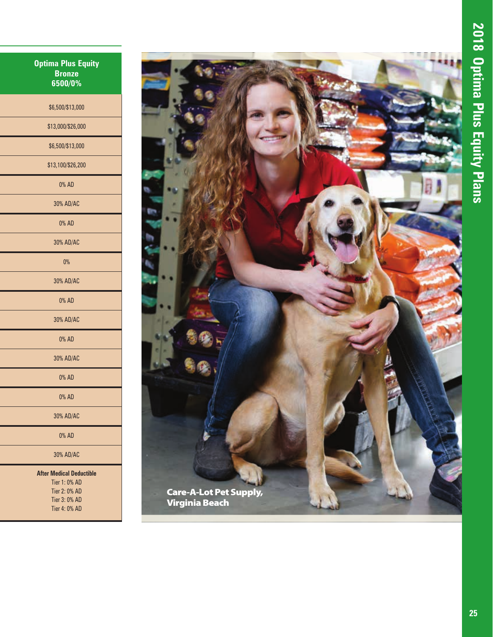| <b>Optima Plus Equity</b><br><b>Bronze</b><br>6500/0% |
|-------------------------------------------------------|
| \$6,500/\$13,000                                      |
| \$13,000/\$26,000                                     |
| \$6,500/\$13,000                                      |
| \$13,100/\$26,200                                     |
| 0% AD                                                 |
| 30% AD/AC                                             |
| 0% AD                                                 |
| 30% AD/AC                                             |
| 0%                                                    |
| 30% AD/AC                                             |
| 0% AD                                                 |
| 30% AD/AC                                             |
| 0% AD                                                 |
| 30% AD/AC                                             |
| 0% AD                                                 |
| 0% AD                                                 |
| 30% AD/AC                                             |
| 0% AD                                                 |
| 30% AD/AC                                             |
| <b>After Medical Deductible</b><br>Tier 1: 0% AD      |

Tier 1: 0% AD Tier 2: 0% AD Tier 3: 0% AD Tier 4: 0% AD

![](_page_24_Picture_3.jpeg)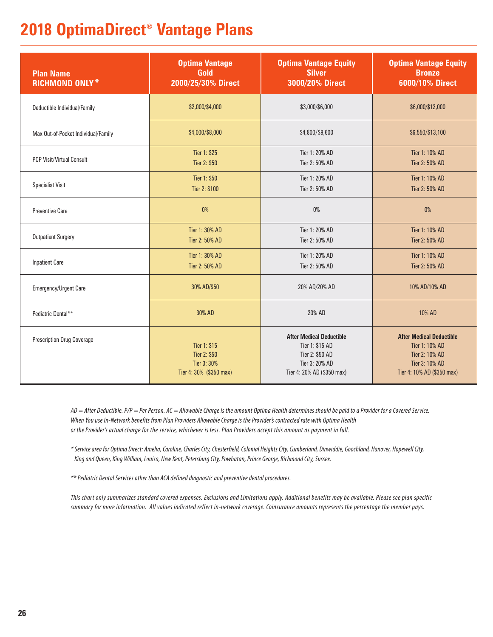### **2018 OptimaDirect® Vantage Plans**

| <b>Plan Name</b><br><b>RICHMOND ONLY*</b> | <b>Optima Vantage</b><br>Gold<br>2000/25/30% Direct                    | <b>Optima Vantage Equity</b><br><b>Silver</b><br>3000/20% Direct                                                      | <b>Optima Vantage Equity</b><br><b>Bronze</b><br>6000/10% Direct                                                    |
|-------------------------------------------|------------------------------------------------------------------------|-----------------------------------------------------------------------------------------------------------------------|---------------------------------------------------------------------------------------------------------------------|
| Deductible Individual/Family              | \$2,000/\$4,000                                                        | \$3,000/\$6,000                                                                                                       | \$6,000/\$12,000                                                                                                    |
| Max Out-of-Pocket Individual/Family       | \$4,000/\$8,000                                                        | \$4,800/\$9,600                                                                                                       | \$6,550/\$13,100                                                                                                    |
| <b>PCP Visit/Virtual Consult</b>          | Tier 1: \$25<br>Tier 2: \$50                                           | Tier 1: 20% AD<br>Tier 2: 50% AD                                                                                      | Tier 1: 10% AD<br>Tier 2: 50% AD                                                                                    |
| <b>Specialist Visit</b>                   | Tier 1: \$50<br>Tier 2: \$100                                          | Tier 1: 20% AD<br>Tier 2: 50% AD                                                                                      | Tier 1: 10% AD<br>Tier 2: 50% AD                                                                                    |
| <b>Preventive Care</b>                    | 0%                                                                     | $0\%$                                                                                                                 | 0%                                                                                                                  |
| <b>Outpatient Surgery</b>                 | Tier 1: 30% AD<br>Tier 2: 50% AD                                       | Tier 1: 20% AD<br>Tier 2: 50% AD                                                                                      | Tier 1: 10% AD<br>Tier 2: 50% AD                                                                                    |
| <b>Inpatient Care</b>                     | Tier 1: 30% AD<br>Tier 2: 50% AD                                       | Tier 1: 20% AD<br>Tier 2: 50% AD                                                                                      | Tier 1: 10% AD<br>Tier 2: 50% AD                                                                                    |
| Emergency/Urgent Care                     | 30% AD/\$50                                                            | 20% AD/20% AD                                                                                                         | 10% AD/10% AD                                                                                                       |
| Pediatric Dental**                        | 30% AD                                                                 | 20% AD                                                                                                                | 10% AD                                                                                                              |
| <b>Prescription Drug Coverage</b>         | Tier 1: \$15<br>Tier 2: \$50<br>Tier 3: 30%<br>Tier 4: 30% (\$350 max) | <b>After Medical Deductible</b><br>Tier 1: \$15 AD<br>Tier 2: \$50 AD<br>Tier 3: 20% AD<br>Tier 4: 20% AD (\$350 max) | <b>After Medical Deductible</b><br>Tier 1: 10% AD<br>Tier 2: 10% AD<br>Tier 3: 10% AD<br>Tier 4: 10% AD (\$350 max) |

*AD = After Deductible. P/P = Per Person. AC = Allowable Charge is the amount Optima Health determines should be paid to a Provider for a Covered Service. When You use In-Network benefits from Plan Providers Allowable Charge is the Provider's contracted rate with Optima Health or the Provider's actual charge for the service, whichever is less. Plan Providers accept this amount as payment in full.* 

*\* Service area for Optima Direct: Amelia, Caroline, Charles City, Chesterfield, Colonial Heights City, Cumberland, Dinwiddie, Goochland, Hanover, Hopewell City, King and Queen, King William, Louisa, New Kent, Petersburg City, Powhatan, Prince George, Richmond City, Sussex.*

*\*\* Pediatric Dental Services other than ACA defined diagnostic and preventive dental procedures.*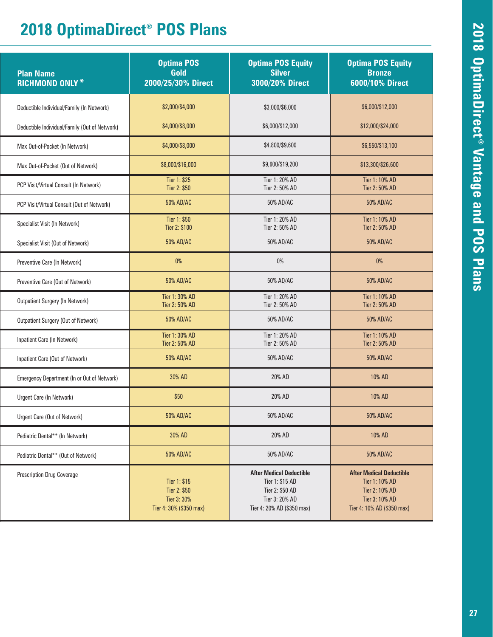### **2018 OptimaDirect® POS Plans**

| <b>Plan Name</b><br><b>RICHMOND ONLY*</b>     | <b>Optima POS</b><br>Gold<br>2000/25/30% Direct                        | <b>Optima POS Equity</b><br><b>Silver</b><br>3000/20% Direct                                                          | <b>Optima POS Equity</b><br><b>Bronze</b><br>6000/10% Direct                                                        |
|-----------------------------------------------|------------------------------------------------------------------------|-----------------------------------------------------------------------------------------------------------------------|---------------------------------------------------------------------------------------------------------------------|
| Deductible Individual/Family (In Network)     | \$2,000/\$4,000                                                        | \$3,000/\$6,000                                                                                                       | \$6,000/\$12,000                                                                                                    |
| Deductible Individual/Family (Out of Network) | \$4,000/\$8,000                                                        | \$6,000/\$12,000                                                                                                      | \$12,000/\$24,000                                                                                                   |
| Max Out-of-Pocket (In Network)                | \$4,000/\$8,000                                                        | \$4,800/\$9,600                                                                                                       | \$6,550/\$13,100                                                                                                    |
| Max Out-of-Pocket (Out of Network)            | \$8,000/\$16,000                                                       | \$9,600/\$19,200                                                                                                      | \$13,300/\$26,600                                                                                                   |
| PCP Visit/Virtual Consult (In Network)        | Tier 1: \$25<br>Tier 2: \$50                                           | Tier 1: 20% AD<br>Tier 2: 50% AD                                                                                      | Tier 1: 10% AD<br>Tier 2: 50% AD                                                                                    |
| PCP Visit/Virtual Consult (Out of Network)    | 50% AD/AC                                                              | 50% AD/AC                                                                                                             | 50% AD/AC                                                                                                           |
| Specialist Visit (In Network)                 | Tier 1: \$50<br>Tier 2: \$100                                          | Tier 1: 20% AD<br>Tier 2: 50% AD                                                                                      | Tier 1: 10% AD<br>Tier 2: 50% AD                                                                                    |
| Specialist Visit (Out of Network)             | 50% AD/AC                                                              | 50% AD/AC                                                                                                             | 50% AD/AC                                                                                                           |
| Preventive Care (In Network)                  | 0%                                                                     | 0%                                                                                                                    | 0%                                                                                                                  |
| Preventive Care (Out of Network)              | 50% AD/AC                                                              | 50% AD/AC                                                                                                             | 50% AD/AC                                                                                                           |
| <b>Outpatient Surgery (In Network)</b>        | Tier 1: 30% AD<br>Tier 2: 50% AD                                       | Tier 1: 20% AD<br>Tier 2: 50% AD                                                                                      | Tier 1: 10% AD<br>Tier 2: 50% AD                                                                                    |
| Outpatient Surgery (Out of Network)           | 50% AD/AC                                                              | 50% AD/AC                                                                                                             | 50% AD/AC                                                                                                           |
| Inpatient Care (In Network)                   | Tier 1: 30% AD<br>Tier 2: 50% AD                                       | Tier 1: 20% AD<br>Tier 2: 50% AD                                                                                      | Tier 1: 10% AD<br>Tier 2: 50% AD                                                                                    |
| Inpatient Care (Out of Network)               | 50% AD/AC                                                              | 50% AD/AC                                                                                                             | 50% AD/AC                                                                                                           |
| Emergency Department (In or Out of Network)   | 30% AD                                                                 | 20% AD                                                                                                                | 10% AD                                                                                                              |
| Urgent Care (In Network)                      | \$50                                                                   | 20% AD                                                                                                                | 10% AD                                                                                                              |
| Urgent Care (Out of Network)                  | 50% AD/AC                                                              | 50% AD/AC                                                                                                             | 50% AD/AC                                                                                                           |
| Pediatric Dental** (In Network)               | 30% AD                                                                 | 20% AD                                                                                                                | 10% AD                                                                                                              |
| Pediatric Dental** (Out of Network)           | 50% AD/AC                                                              | 50% AD/AC                                                                                                             | 50% AD/AC                                                                                                           |
| <b>Prescription Drug Coverage</b>             | Tier 1: \$15<br>Tier 2: \$50<br>Tier 3: 30%<br>Tier 4: 30% (\$350 max) | <b>After Medical Deductible</b><br>Tier 1: \$15 AD<br>Tier 2: \$50 AD<br>Tier 3: 20% AD<br>Tier 4: 20% AD (\$350 max) | <b>After Medical Deductible</b><br>Tier 1: 10% AD<br>Tier 2: 10% AD<br>Tier 3: 10% AD<br>Tier 4: 10% AD (\$350 max) |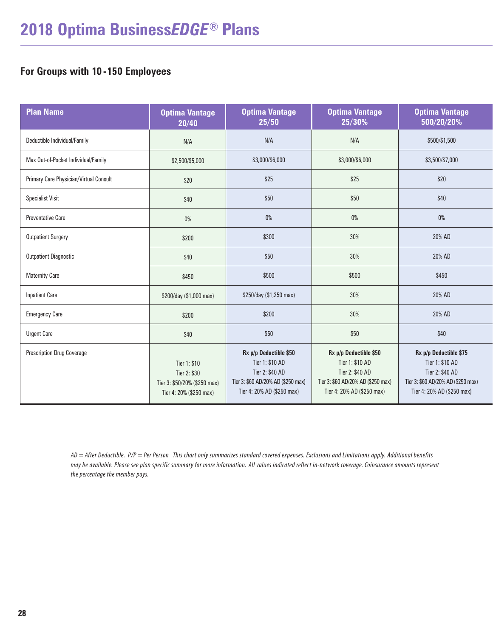#### **For Groups with 10 -150 Employees**

| <b>Plan Name</b>                       | <b>Optima Vantage</b><br>20/40                                                          | <b>Optima Vantage</b><br>25/50                                                                                                   | <b>Optima Vantage</b><br>25/30%                                                                                                  | <b>Optima Vantage</b><br>500/20/20%                                                                                              |
|----------------------------------------|-----------------------------------------------------------------------------------------|----------------------------------------------------------------------------------------------------------------------------------|----------------------------------------------------------------------------------------------------------------------------------|----------------------------------------------------------------------------------------------------------------------------------|
| Deductible Individual/Family           | N/A                                                                                     | N/A                                                                                                                              | N/A                                                                                                                              | \$500/\$1,500                                                                                                                    |
| Max Out-of-Pocket Individual/Family    | \$2,500/\$5,000                                                                         | \$3,000/\$6,000                                                                                                                  | \$3,000/\$6,000                                                                                                                  | \$3,500/\$7,000                                                                                                                  |
| Primary Care Physician/Virtual Consult | \$20                                                                                    | \$25                                                                                                                             | \$25                                                                                                                             | \$20                                                                                                                             |
| <b>Specialist Visit</b>                | \$40                                                                                    | \$50                                                                                                                             | \$50                                                                                                                             | \$40                                                                                                                             |
| <b>Preventative Care</b>               | $0\%$                                                                                   | $0\%$                                                                                                                            | $0\%$                                                                                                                            | $0\%$                                                                                                                            |
| <b>Outpatient Surgery</b>              | \$200                                                                                   | \$300                                                                                                                            | 30%                                                                                                                              | 20% AD                                                                                                                           |
| <b>Outpatient Diagnostic</b>           | \$40                                                                                    | \$50                                                                                                                             | 30%                                                                                                                              | 20% AD                                                                                                                           |
| <b>Maternity Care</b>                  | \$450                                                                                   | \$500                                                                                                                            | \$500                                                                                                                            | \$450                                                                                                                            |
| <b>Inpatient Care</b>                  | \$200/day (\$1,000 max)                                                                 | \$250/day (\$1,250 max)                                                                                                          | 30%                                                                                                                              | 20% AD                                                                                                                           |
| <b>Emergency Care</b>                  | \$200                                                                                   | \$200                                                                                                                            | 30%                                                                                                                              | 20% AD                                                                                                                           |
| <b>Urgent Care</b>                     | \$40                                                                                    | \$50                                                                                                                             | \$50                                                                                                                             | \$40                                                                                                                             |
| <b>Prescription Drug Coverage</b>      | Tier 1: \$10<br>Tier 2: \$30<br>Tier 3: \$50/20% (\$250 max)<br>Tier 4: 20% (\$250 max) | Rx p/p Deductible \$50<br>Tier 1: \$10 AD<br>Tier 2: \$40 AD<br>Tier 3: \$60 AD/20% AD (\$250 max)<br>Tier 4: 20% AD (\$250 max) | Rx p/p Deductible \$50<br>Tier 1: \$10 AD<br>Tier 2: \$40 AD<br>Tier 3: \$60 AD/20% AD (\$250 max)<br>Tier 4: 20% AD (\$250 max) | Rx p/p Deductible \$75<br>Tier 1: \$10 AD<br>Tier 2: \$40 AD<br>Tier 3: \$60 AD/20% AD (\$250 max)<br>Tier 4: 20% AD (\$250 max) |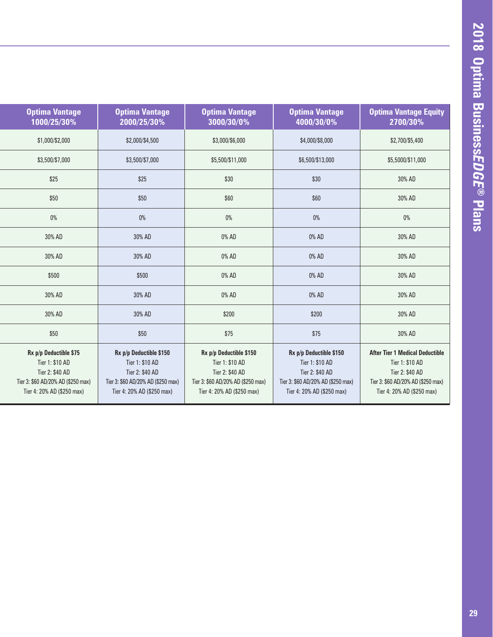| <b>Optima Vantage</b><br>1000/25/30%                                                                                             | <b>Optima Vantage</b><br>2000/25/30%                                                                                              | <b>Optima Vantage</b><br>3000/30/0%                                                                                               | <b>Optima Vantage</b><br>4000/30/0%                                                                                               | <b>Optima Vantage Equity</b><br>2700/30%                                                                                                         |
|----------------------------------------------------------------------------------------------------------------------------------|-----------------------------------------------------------------------------------------------------------------------------------|-----------------------------------------------------------------------------------------------------------------------------------|-----------------------------------------------------------------------------------------------------------------------------------|--------------------------------------------------------------------------------------------------------------------------------------------------|
| \$1,000/\$2,000                                                                                                                  | \$2,000/\$4,500                                                                                                                   | \$3,000/\$6,000                                                                                                                   | \$4,000/\$8,000                                                                                                                   | \$2,700/\$5,400                                                                                                                                  |
| \$3,500/\$7,000                                                                                                                  | \$3,500/\$7,000                                                                                                                   | \$5,500/\$11,000                                                                                                                  | \$6,500/\$13,000                                                                                                                  | \$5,5000/\$11,000                                                                                                                                |
| \$25                                                                                                                             | \$25                                                                                                                              | \$30                                                                                                                              | \$30                                                                                                                              | 30% AD                                                                                                                                           |
| \$50                                                                                                                             | \$50                                                                                                                              | \$60                                                                                                                              | \$60                                                                                                                              | 30% AD                                                                                                                                           |
| $0\%$                                                                                                                            | $0\%$                                                                                                                             | 0%                                                                                                                                | 0%                                                                                                                                | 0%                                                                                                                                               |
| 30% AD                                                                                                                           | 30% AD                                                                                                                            | 0% AD                                                                                                                             | 0% AD                                                                                                                             | 30% AD                                                                                                                                           |
| 30% AD                                                                                                                           | 30% AD                                                                                                                            | 0% AD                                                                                                                             | 0% AD                                                                                                                             | 30% AD                                                                                                                                           |
| \$500                                                                                                                            | \$500                                                                                                                             | $0\%$ AD                                                                                                                          | 0% AD                                                                                                                             | 30% AD                                                                                                                                           |
| 30% AD                                                                                                                           | 30% AD                                                                                                                            | 0% AD                                                                                                                             | 0% AD                                                                                                                             | 30% AD                                                                                                                                           |
| 30% AD                                                                                                                           | 30% AD                                                                                                                            | \$200                                                                                                                             | \$200                                                                                                                             | 30% AD                                                                                                                                           |
| \$50                                                                                                                             | \$50                                                                                                                              | \$75                                                                                                                              | \$75                                                                                                                              | 30% AD                                                                                                                                           |
| Rx p/p Deductible \$75<br>Tier 1: \$10 AD<br>Tier 2: \$40 AD<br>Tier 3: \$60 AD/20% AD (\$250 max)<br>Tier 4: 20% AD (\$250 max) | Rx p/p Deductible \$150<br>Tier 1: \$10 AD<br>Tier 2: \$40 AD<br>Tier 3: \$60 AD/20% AD (\$250 max)<br>Tier 4: 20% AD (\$250 max) | Rx p/p Deductible \$150<br>Tier 1: \$10 AD<br>Tier 2: \$40 AD<br>Tier 3: \$60 AD/20% AD (\$250 max)<br>Tier 4: 20% AD (\$250 max) | Rx p/p Deductible \$150<br>Tier 1: \$10 AD<br>Tier 2: \$40 AD<br>Tier 3: \$60 AD/20% AD (\$250 max)<br>Tier 4: 20% AD (\$250 max) | <b>After Tier 1 Medical Deductible</b><br>Tier 1: \$10 AD<br>Tier 2: \$40 AD<br>Tier 3: \$60 AD/20% AD (\$250 max)<br>Tier 4: 20% AD (\$250 max) |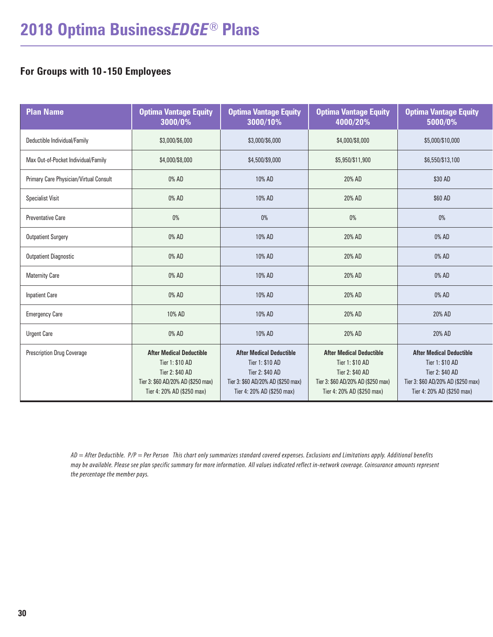#### **For Groups with 10 -150 Employees**

| <b>Plan Name</b>                       | <b>Optima Vantage Equity</b><br>3000/0%                                                                                                   | <b>Optima Vantage Equity</b><br>3000/10%                                                                                                  | <b>Optima Vantage Equity</b><br>4000/20%                                                                                                  | <b>Optima Vantage Equity</b><br>5000/0%                                                                                                   |
|----------------------------------------|-------------------------------------------------------------------------------------------------------------------------------------------|-------------------------------------------------------------------------------------------------------------------------------------------|-------------------------------------------------------------------------------------------------------------------------------------------|-------------------------------------------------------------------------------------------------------------------------------------------|
| Deductible Individual/Family           | \$3,000/\$6,000                                                                                                                           | \$3,000/\$6,000                                                                                                                           | \$4,000/\$8,000                                                                                                                           | \$5,000/\$10,000                                                                                                                          |
| Max Out-of-Pocket Individual/Family    | \$4,000/\$8,000                                                                                                                           | \$4,500/\$9,000                                                                                                                           | \$5,950/\$11,900                                                                                                                          | \$6,550/\$13,100                                                                                                                          |
| Primary Care Physician/Virtual Consult | 0% AD                                                                                                                                     | 10% AD                                                                                                                                    | 20% AD                                                                                                                                    | \$30 AD                                                                                                                                   |
| <b>Specialist Visit</b>                | 0% AD                                                                                                                                     | 10% AD                                                                                                                                    | 20% AD                                                                                                                                    | \$60 AD                                                                                                                                   |
| <b>Preventative Care</b>               | 0%                                                                                                                                        | 0%                                                                                                                                        | $0\%$                                                                                                                                     | 0%                                                                                                                                        |
| <b>Outpatient Surgery</b>              | 0% AD                                                                                                                                     | 10% AD                                                                                                                                    | 20% AD                                                                                                                                    | 0% AD                                                                                                                                     |
| <b>Outpatient Diagnostic</b>           | 0% AD                                                                                                                                     | 10% AD                                                                                                                                    | 20% AD                                                                                                                                    | 0% AD                                                                                                                                     |
| <b>Maternity Care</b>                  | 0% AD                                                                                                                                     | 10% AD                                                                                                                                    | 20% AD                                                                                                                                    | 0% AD                                                                                                                                     |
| <b>Inpatient Care</b>                  | 0% AD                                                                                                                                     | 10% AD                                                                                                                                    | 20% AD                                                                                                                                    | 0% AD                                                                                                                                     |
| <b>Emergency Care</b>                  | 10% AD                                                                                                                                    | 10% AD                                                                                                                                    | 20% AD                                                                                                                                    | 20% AD                                                                                                                                    |
| <b>Urgent Care</b>                     | 0% AD                                                                                                                                     | 10% AD                                                                                                                                    | 20% AD                                                                                                                                    | 20% AD                                                                                                                                    |
| <b>Prescription Drug Coverage</b>      | <b>After Medical Deductible</b><br>Tier 1: \$10 AD<br>Tier 2: \$40 AD<br>Tier 3: \$60 AD/20% AD (\$250 max)<br>Tier 4: 20% AD (\$250 max) | <b>After Medical Deductible</b><br>Tier 1: \$10 AD<br>Tier 2: \$40 AD<br>Tier 3: \$60 AD/20% AD (\$250 max)<br>Tier 4: 20% AD (\$250 max) | <b>After Medical Deductible</b><br>Tier 1: \$10 AD<br>Tier 2: \$40 AD<br>Tier 3: \$60 AD/20% AD (\$250 max)<br>Tier 4: 20% AD (\$250 max) | <b>After Medical Deductible</b><br>Tier 1: \$10 AD<br>Tier 2: \$40 AD<br>Tier 3: \$60 AD/20% AD (\$250 max)<br>Tier 4: 20% AD (\$250 max) |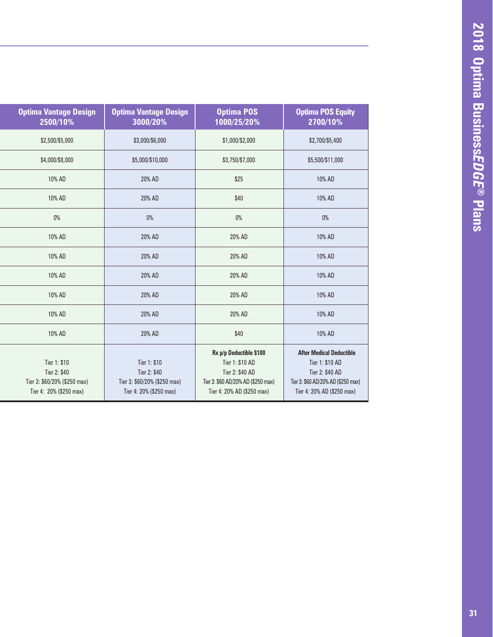| <b>Optima Vantage Design</b><br>2500/10%                                                | <b>Optima Vantage Design</b><br>3000/20%                                                | <b>Optima POS</b><br>1000/25/20%                                                                                                  | <b>Optima POS Equity</b><br>2700/10%                                                                                                      |
|-----------------------------------------------------------------------------------------|-----------------------------------------------------------------------------------------|-----------------------------------------------------------------------------------------------------------------------------------|-------------------------------------------------------------------------------------------------------------------------------------------|
| \$2,500/\$5,000                                                                         | \$3,000/\$6,000                                                                         | \$1,000/\$2,000                                                                                                                   | \$2,700/\$5,400                                                                                                                           |
| \$4,000/\$8,000                                                                         | \$5,000/\$10,000                                                                        | \$3,750/\$7,000                                                                                                                   | \$5,500/\$11,000                                                                                                                          |
| 10% AD                                                                                  | 20% AD                                                                                  | \$25                                                                                                                              | 10% AD                                                                                                                                    |
| 10% AD                                                                                  | 20% AD                                                                                  | \$40                                                                                                                              | 10% AD                                                                                                                                    |
| 0%                                                                                      | $0\%$                                                                                   | $0\%$                                                                                                                             | 0%                                                                                                                                        |
| 10% AD                                                                                  | 20% AD                                                                                  | 20% AD                                                                                                                            | 10% AD                                                                                                                                    |
| 10% AD                                                                                  | 20% AD                                                                                  | 20% AD                                                                                                                            | 10% AD                                                                                                                                    |
| 10% AD                                                                                  | 20% AD                                                                                  | 20% AD                                                                                                                            | 10% AD                                                                                                                                    |
| 10% AD                                                                                  | 20% AD                                                                                  | 20% AD                                                                                                                            | 10% AD                                                                                                                                    |
| 10% AD                                                                                  | 20% AD                                                                                  | 20% AD                                                                                                                            | 10% AD                                                                                                                                    |
| 10% AD                                                                                  | 20% AD                                                                                  | \$40                                                                                                                              | 10% AD                                                                                                                                    |
| Tier 1: \$10<br>Tier 2: \$40<br>Tier 3: \$60/20% (\$250 max)<br>Tier 4: 20% (\$250 max) | Tier 1: \$10<br>Tier 2: \$40<br>Tier 3: \$60/20% (\$250 max)<br>Tier 4: 20% (\$250 max) | Rx p/p Deductible \$100<br>Tier 1: \$10 AD<br>Tier 2: \$40 AD<br>Tier 3: \$60 AD/20% AD (\$250 max)<br>Tier 4: 20% AD (\$250 max) | <b>After Medical Deductible</b><br>Tier 1: \$10 AD<br>Tier 2: \$40 AD<br>Tier 3: \$60 AD/20% AD (\$250 max)<br>Tier 4: 20% AD (\$250 max) |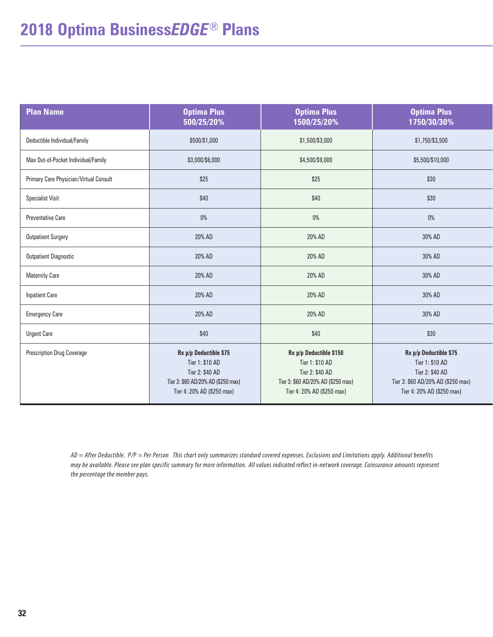### **2018 Optima Business***EDGE*® **Plans**

| <b>Plan Name</b>                       | <b>Optima Plus</b><br>500/25/20%                                                                                                 | <b>Optima Plus</b><br>1500/25/20%                                                                                                 | <b>Optima Plus</b><br>1750/30/30%                                                                                                |
|----------------------------------------|----------------------------------------------------------------------------------------------------------------------------------|-----------------------------------------------------------------------------------------------------------------------------------|----------------------------------------------------------------------------------------------------------------------------------|
| Deductible Individual/Family           | \$500/\$1,000                                                                                                                    | \$1,500/\$3,000                                                                                                                   | \$1,750/\$3,500                                                                                                                  |
| Max Out-of-Pocket Individual/Family    | \$3,000/\$6,000                                                                                                                  | \$4,500/\$9,000                                                                                                                   | \$5,500/\$10,000                                                                                                                 |
| Primary Care Physician/Virtual Consult | \$25                                                                                                                             | \$25                                                                                                                              | \$30                                                                                                                             |
| <b>Specialist Visit</b>                | \$40                                                                                                                             | \$40                                                                                                                              | \$30                                                                                                                             |
| <b>Preventative Care</b>               | $0\%$                                                                                                                            | $0\%$                                                                                                                             | $0\%$                                                                                                                            |
| <b>Outpatient Surgery</b>              | 20% AD                                                                                                                           | 20% AD                                                                                                                            | 30% AD                                                                                                                           |
| <b>Outpatient Diagnostic</b>           | 20% AD                                                                                                                           | 20% AD                                                                                                                            | 30% AD                                                                                                                           |
| <b>Maternity Care</b>                  | 20% AD                                                                                                                           | 20% AD                                                                                                                            | 30% AD                                                                                                                           |
| <b>Inpatient Care</b>                  | 20% AD                                                                                                                           | 20% AD                                                                                                                            | 30% AD                                                                                                                           |
| <b>Emergency Care</b>                  | 20% AD                                                                                                                           | 20% AD                                                                                                                            | 30% AD                                                                                                                           |
| <b>Urgent Care</b>                     | \$40                                                                                                                             | \$40                                                                                                                              | \$30                                                                                                                             |
| <b>Prescription Drug Coverage</b>      | Rx p/p Deductible \$75<br>Tier 1: \$10 AD<br>Tier 2: \$40 AD<br>Tier 3: \$60 AD/20% AD (\$250 max)<br>Tier 4: 20% AD (\$250 max) | Rx p/p Deductible \$150<br>Tier 1: \$10 AD<br>Tier 2: \$40 AD<br>Tier 3: \$60 AD/20% AD (\$250 max)<br>Tier 4: 20% AD (\$250 max) | Rx p/p Deductible \$75<br>Tier 1: \$10 AD<br>Tier 2: \$40 AD<br>Tier 3: \$60 AD/20% AD (\$250 max)<br>Tier 4: 20% AD (\$250 max) |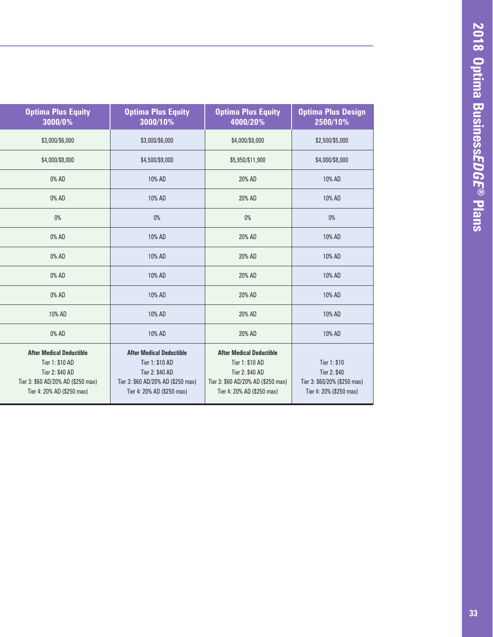| <b>Optima Plus Equity</b><br>3000/0%                                                                                                      | <b>Optima Plus Equity</b><br>3000/10%                                                                                                     | <b>Optima Plus Equity</b><br>4000/20%                                                                                                     | <b>Optima Plus Design</b><br>2500/10%                                                   |
|-------------------------------------------------------------------------------------------------------------------------------------------|-------------------------------------------------------------------------------------------------------------------------------------------|-------------------------------------------------------------------------------------------------------------------------------------------|-----------------------------------------------------------------------------------------|
| \$3,000/\$6,000                                                                                                                           | \$3,000/\$6,000                                                                                                                           | \$4,000/\$8,000                                                                                                                           | \$2,500/\$5,000                                                                         |
| \$4,000/\$8,000                                                                                                                           | \$4,500/\$9,000                                                                                                                           | \$5,950/\$11,900                                                                                                                          | \$4,000/\$8,000                                                                         |
| 0% AD                                                                                                                                     | 10% AD                                                                                                                                    | 20% AD                                                                                                                                    | 10% AD                                                                                  |
| 0% AD                                                                                                                                     | 10% AD                                                                                                                                    | 20% AD                                                                                                                                    | 10% AD                                                                                  |
| $0\%$                                                                                                                                     | 0%                                                                                                                                        | $0\%$                                                                                                                                     | 0%                                                                                      |
| 0% AD                                                                                                                                     | 10% AD                                                                                                                                    | 20% AD                                                                                                                                    | 10% AD                                                                                  |
| 0% AD                                                                                                                                     | 10% AD                                                                                                                                    | 20% AD                                                                                                                                    | 10% AD                                                                                  |
| 0% AD                                                                                                                                     | 10% AD                                                                                                                                    | 20% AD                                                                                                                                    | 10% AD                                                                                  |
| 0% AD                                                                                                                                     | 10% AD                                                                                                                                    | 20% AD                                                                                                                                    | 10% AD                                                                                  |
| 10% AD                                                                                                                                    | 10% AD                                                                                                                                    | 20% AD                                                                                                                                    | 10% AD                                                                                  |
| 0% AD                                                                                                                                     | 10% AD                                                                                                                                    | 20% AD                                                                                                                                    | 10% AD                                                                                  |
| <b>After Medical Deductible</b><br>Tier 1: \$10 AD<br>Tier 2: \$40 AD<br>Tier 3: \$60 AD/20% AD (\$250 max)<br>Tier 4: 20% AD (\$250 max) | <b>After Medical Deductible</b><br>Tier 1: \$10 AD<br>Tier 2: \$40 AD<br>Tier 3: \$60 AD/20% AD (\$250 max)<br>Tier 4: 20% AD (\$250 max) | <b>After Medical Deductible</b><br>Tier 1: \$10 AD<br>Tier 2: \$40 AD<br>Tier 3: \$60 AD/20% AD (\$250 max)<br>Tier 4: 20% AD (\$250 max) | Tier 1: \$10<br>Tier 2: \$40<br>Tier 3: \$60/20% (\$250 max)<br>Tier 4: 20% (\$250 max) |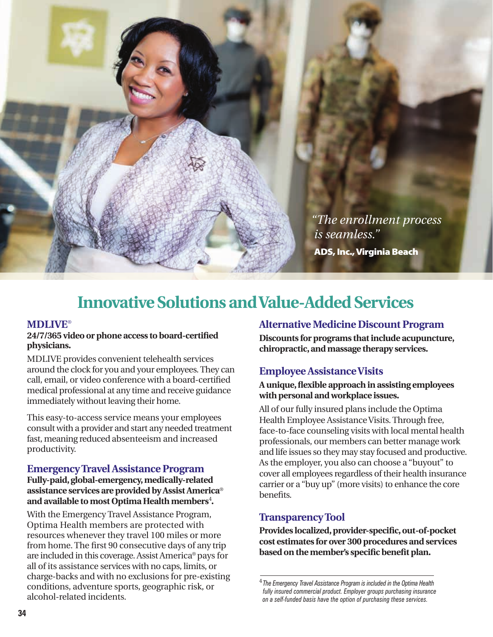![](_page_33_Picture_0.jpeg)

*"The enrollment process is seamless."* ADS, Inc., Virginia Beach

### **Innovative Solutions and Value-Added Services**

#### **MDLIVE**®

#### **24/7/365 video or phone access to board-certified physicians.**

MDLIVE provides convenient telehealth services around the clock for you and your employees. They can call, email, or video conference with a board-certified medical professional at any time and receive guidance immediately without leaving their home.

This easy-to-access service means your employees consult with a provider and start any needed treatment fast, meaning reduced absenteeism and increased productivity.

#### **Emergency Travel Assistance Program**

#### **Fully-paid, global-emergency, medically-related assistance services are provided by Assist America**® and available to most Optima Health members<sup>4</sup>.

With the Emergency Travel Assistance Program, Optima Health members are protected with resources whenever they travel 100 miles or more from home. The first 90 consecutive days of any trip are included in this coverage. Assist America® pays for all of its assistance services with no caps, limits, or charge-backs and with no exclusions for pre-existing conditions, adventure sports, geographic risk, or alcohol-related incidents.

#### **Alternative Medicine Discount Program**

**Discounts for programs that include acupuncture, chiropractic, and massage therapy services.** 

#### **Employee Assistance Visits**

#### **A unique, flexible approach in assisting employees with personal and workplace issues.**

All of our fully insured plans include the Optima Health Employee Assistance Visits. Through free, face-to-face counseling visits with local mental health professionals, our members can better manage work and life issues so they may stay focused and productive. As the employer, you also can choose a "buyout" to cover all employees regardless of their health insurance carrier or a "buy up" (more visits) to enhance the core benefits.

#### **Transparency Tool**

**Provides localized, provider-specific, out-of-pocket cost estimates for over 300 procedures and services based on the member's specific benefit plan.**

<sup>4</sup>  *The Emergency Travel Assistance Program is included in the Optima Health fully insured commercial product. Employer groups purchasing insurance on a self-funded basis have the option of purchasing these services.*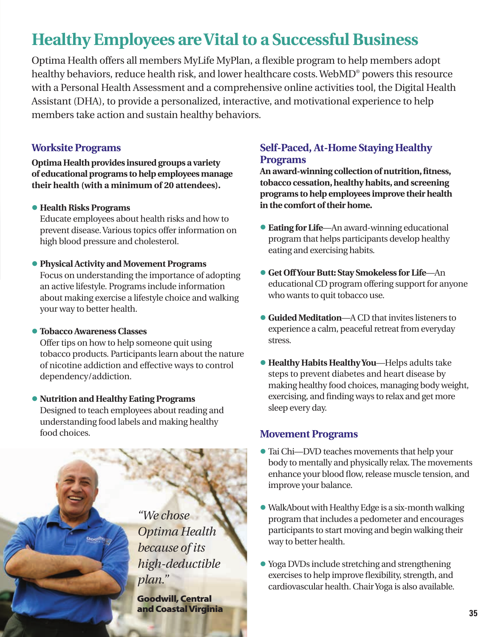## **Healthy Employees are Vital to a Successful Business**

Optima Health offers all members MyLife MyPlan, a flexible program to help members adopt healthy behaviors, reduce health risk, and lower healthcare costs. WebMD® powers this resource with a Personal Health Assessment and a comprehensive online activities tool, the Digital Health Assistant (DHA), to provide a personalized, interactive, and motivational experience to help members take action and sustain healthy behaviors.

#### **Worksite Programs**

**Optima Health provides insured groups a variety of educational programs to help employees manage their health (with a minimum of 20 attendees).**

**• Health Risks Programs**

Educate employees about health risks and how to prevent disease. Various topics offer information on high blood pressure and cholesterol.

**• Physical Activity and Movement Programs**

Focus on understanding the importance of adopting an active lifestyle. Programs include information about making exercise a lifestyle choice and walking your way to better health.

**• Tobacco Awareness Classes**

Offer tips on how to help someone quit using tobacco products. Participants learn about the nature of nicotine addiction and effective ways to control dependency/addiction.

**• Nutrition and Healthy Eating Programs** Designed to teach employees about reading and understanding food labels and making healthy food choices.

> *"We chose Optima Health because of its high-deductible plan."*

Goodwill, Central and Coastal Virginia

#### **Self-Paced, At-Home Staying Healthy Programs**

**An award-winning collection of nutrition, fitness, tobacco cessation, healthy habits, and screening programs to help employees improve their health in the comfort of their home.**

- **• Eating for Life**—An award-winning educational program that helps participants develop healthy eating and exercising habits.
- **• Get Off Your Butt: Stay Smokeless for Life**—An educational CD program offering support for anyone who wants to quit tobacco use.
- **• Guided Meditation**—A CD that invites listeners to experience a calm, peaceful retreat from everyday stress.
- **• Healthy Habits Healthy You**—Helps adults take steps to prevent diabetes and heart disease by making healthy food choices, managing body weight, exercising, and finding ways to relax and get more sleep every day.

#### **Movement Programs**

- **•** Tai Chi—DVD teaches movements that help your body to mentally and physically relax. The movements enhance your blood flow, release muscle tension, and improve your balance.
- **•** WalkAbout with Healthy Edge is a six-month walking program that includes a pedometer and encourages participants to start moving and begin walking their way to better health.
- **•** Yoga DVDs include stretching and strengthening exercises to help improve flexibility, strength, and cardiovascular health. Chair Yoga is also available.